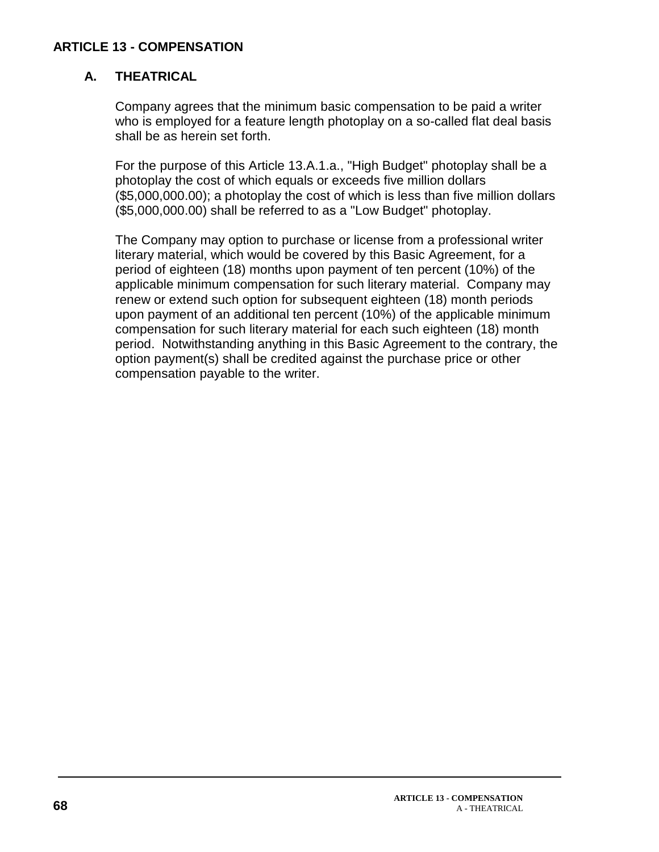### **ARTICLE 13 - COMPENSATION**

### **A. THEATRICAL**

Company agrees that the minimum basic compensation to be paid a writer who is employed for a feature length photoplay on a so-called flat deal basis shall be as herein set forth.

For the purpose of this Article 13.A.1.a., "High Budget" photoplay shall be a photoplay the cost of which equals or exceeds five million dollars (\$5,000,000.00); a photoplay the cost of which is less than five million dollars (\$5,000,000.00) shall be referred to as a "Low Budget" photoplay.

The Company may option to purchase or license from a professional writer literary material, which would be covered by this Basic Agreement, for a period of eighteen (18) months upon payment of ten percent (10%) of the applicable minimum compensation for such literary material. Company may renew or extend such option for subsequent eighteen (18) month periods upon payment of an additional ten percent (10%) of the applicable minimum compensation for such literary material for each such eighteen (18) month period. Notwithstanding anything in this Basic Agreement to the contrary, the option payment(s) shall be credited against the purchase price or other compensation payable to the writer.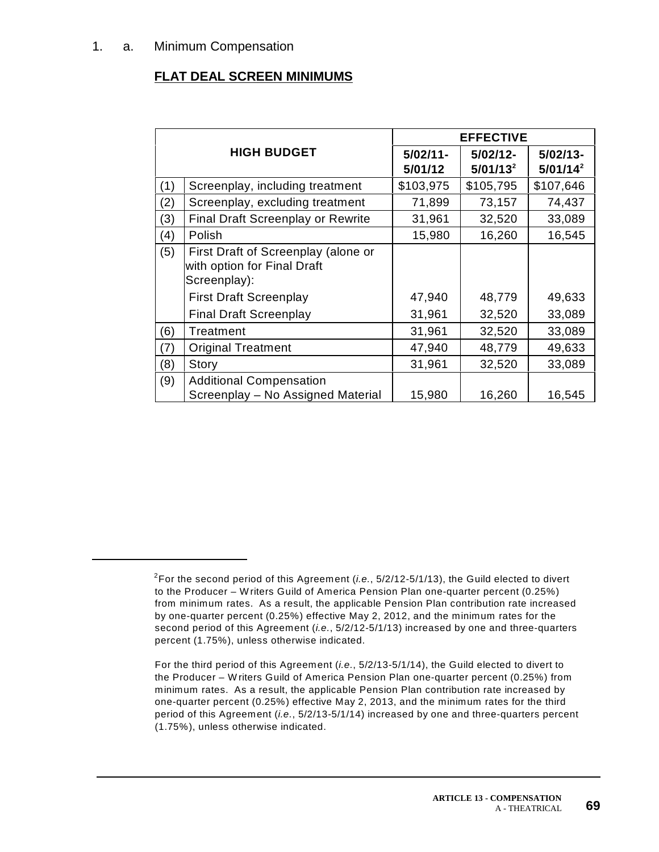#### 1. a. Minimum Compensation

### **FLAT DEAL SCREEN MINIMUMS**

|     |                                                                                    |             | <b>EFFECTIVE</b> |                      |
|-----|------------------------------------------------------------------------------------|-------------|------------------|----------------------|
|     | <b>HIGH BUDGET</b>                                                                 | $5/02/11 -$ | $5/02/12$ -      | $5/02/13-$           |
|     |                                                                                    | 5/01/12     | $5/01/13^2$      | 5/01/14 <sup>2</sup> |
| (1) | Screenplay, including treatment                                                    | \$103,975   | \$105,795        | \$107,646            |
| (2) | Screenplay, excluding treatment                                                    | 71,899      | 73,157           | 74,437               |
| (3) | <b>Final Draft Screenplay or Rewrite</b>                                           | 31,961      | 32,520           | 33,089               |
| (4) | Polish                                                                             | 15,980      | 16,260           | 16,545               |
| (5) | First Draft of Screenplay (alone or<br>with option for Final Draft<br>Screenplay): |             |                  |                      |
|     | <b>First Draft Screenplay</b>                                                      | 47,940      | 48,779           | 49,633               |
|     | <b>Final Draft Screenplay</b>                                                      | 31,961      | 32,520           | 33,089               |
| (6) | Treatment                                                                          | 31,961      | 32,520           | 33,089               |
| (7) | <b>Original Treatment</b>                                                          | 47,940      | 48,779           | 49,633               |
| (8) | Story                                                                              | 31,961      | 32,520           | 33,089               |
| (9) | <b>Additional Compensation</b><br>Screenplay - No Assigned Material                | 15,980      | 16,260           | 16,545               |

 $^2$ For the second period of this Agreement (*i.e.*, 5/2/12-5/1/13), the Guild elected to divert to the Producer – Writers Guild of America Pension Plan one-quarter percent (0.25%) from minimum rates. As a result, the applicable Pension Plan contribution rate increased by one-quarter percent (0.25%) effective May 2, 2012, and the minimum rates for the second period of this Agreement (*i.e.*, 5/2/12-5/1/13) increased by one and three-quarters percent (1.75%), unless otherwise indicated.

For the third period of this Agreement (*i.e.*, 5/2/13-5/1/14), the Guild elected to divert to the Producer – W riters Guild of America Pension Plan one-quarter percent (0.25%) from minimum rates. As a result, the applicable Pension Plan contribution rate increased by one-quarter percent (0.25%) effective May 2, 2013, and the minimum rates for the third period of this Agreement (*i.e.*, 5/2/13-5/1/14) increased by one and three-quarters percent (1.75%), unless otherwise indicated.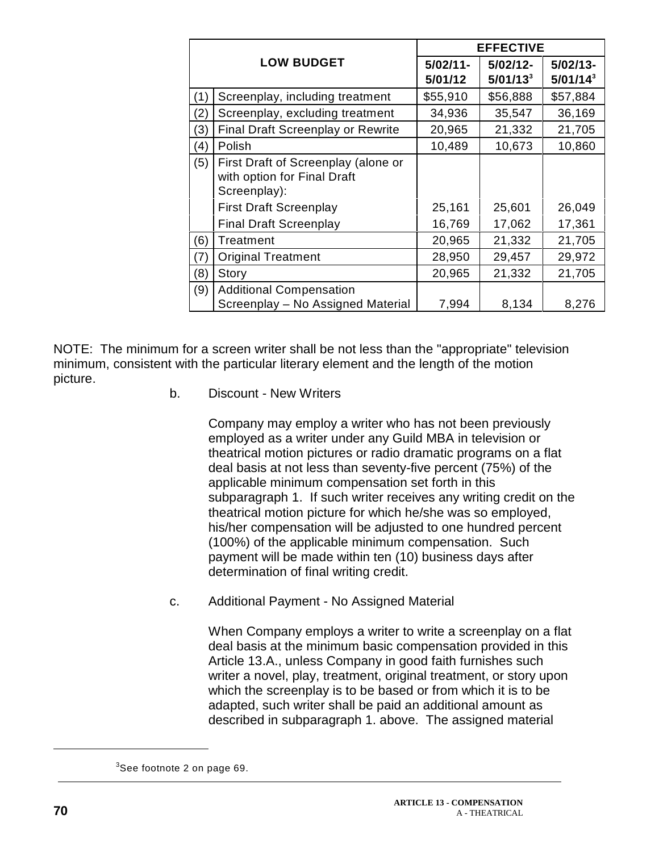|     |                                          |          | <b>EFFECTIVE</b>     |                      |
|-----|------------------------------------------|----------|----------------------|----------------------|
|     | <b>LOW BUDGET</b>                        |          | $5/02/12$ -          | $5/02/13-$           |
|     |                                          | 5/01/12  | 5/01/13 <sup>3</sup> | 5/01/14 <sup>3</sup> |
| (1) | Screenplay, including treatment          | \$55,910 | \$56,888             | \$57,884             |
| (2) | Screenplay, excluding treatment          | 34,936   | 35,547               | 36,169               |
| (3) | <b>Final Draft Screenplay or Rewrite</b> | 20,965   | 21,332               | 21,705               |
| (4) | Polish                                   | 10,489   | 10,673               | 10,860               |
| (5) | First Draft of Screenplay (alone or      |          |                      |                      |
|     | with option for Final Draft              |          |                      |                      |
|     | Screenplay):                             |          |                      |                      |
|     | <b>First Draft Screenplay</b>            | 25,161   | 25,601               | 26,049               |
|     | <b>Final Draft Screenplay</b>            | 16,769   | 17,062               | 17,361               |
| (6) | Treatment                                | 20,965   | 21,332               | 21,705               |
| (7) | <b>Original Treatment</b>                | 28,950   | 29,457               | 29,972               |
| (8) | Story                                    | 20,965   | 21,332               | 21,705               |
| (9) | <b>Additional Compensation</b>           |          |                      |                      |
|     | Screenplay - No Assigned Material        | 7,994    | 8,134                | 8,276                |

NOTE: The minimum for a screen writer shall be not less than the "appropriate" television minimum, consistent with the particular literary element and the length of the motion picture.

b. Discount - New Writers

Company may employ a writer who has not been previously employed as a writer under any Guild MBA in television or theatrical motion pictures or radio dramatic programs on a flat deal basis at not less than seventy-five percent (75%) of the applicable minimum compensation set forth in this subparagraph 1. If such writer receives any writing credit on the theatrical motion picture for which he/she was so employed, his/her compensation will be adjusted to one hundred percent (100%) of the applicable minimum compensation. Such payment will be made within ten (10) business days after determination of final writing credit.

c. Additional Payment - No Assigned Material

When Company employs a writer to write a screenplay on a flat deal basis at the minimum basic compensation provided in this Article 13.A., unless Company in good faith furnishes such writer a novel, play, treatment, original treatment, or story upon which the screenplay is to be based or from which it is to be adapted, such writer shall be paid an additional amount as described in subparagraph 1. above. The assigned material

 $^3$ See footnote 2 on page 69.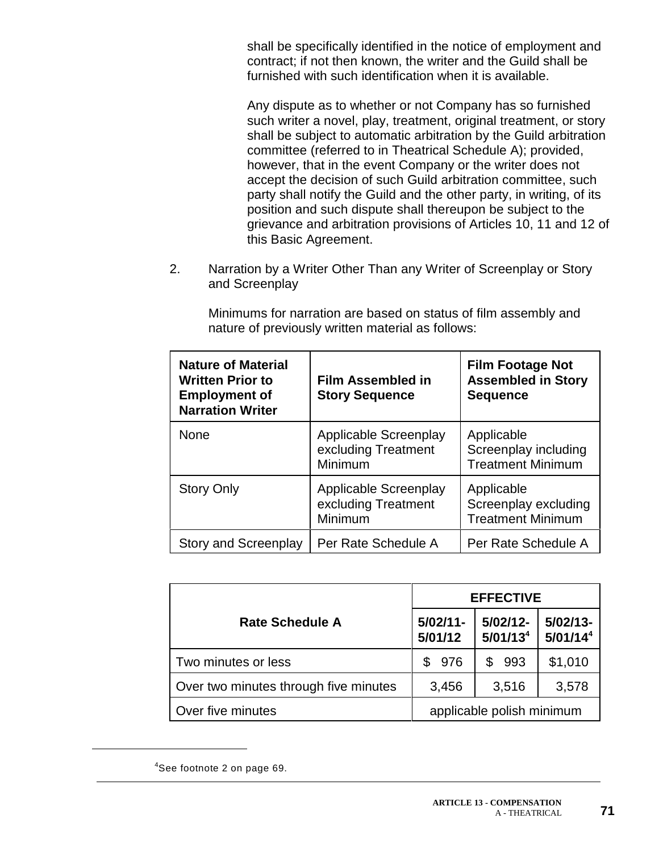shall be specifically identified in the notice of employment and contract; if not then known, the writer and the Guild shall be furnished with such identification when it is available.

Any dispute as to whether or not Company has so furnished such writer a novel, play, treatment, original treatment, or story shall be subject to automatic arbitration by the Guild arbitration committee (referred to in Theatrical Schedule A); provided, however, that in the event Company or the writer does not accept the decision of such Guild arbitration committee, such party shall notify the Guild and the other party, in writing, of its position and such dispute shall thereupon be subject to the grievance and arbitration provisions of Articles 10, 11 and 12 of this Basic Agreement.

2. Narration by a Writer Other Than any Writer of Screenplay or Story and Screenplay

Minimums for narration are based on status of film assembly and nature of previously written material as follows:

| <b>Nature of Material</b><br><b>Written Prior to</b><br><b>Employment of</b><br><b>Narration Writer</b> | <b>Film Assembled in</b><br><b>Story Sequence</b>       | <b>Film Footage Not</b><br><b>Assembled in Story</b><br><b>Sequence</b> |
|---------------------------------------------------------------------------------------------------------|---------------------------------------------------------|-------------------------------------------------------------------------|
| <b>None</b>                                                                                             | Applicable Screenplay<br>excluding Treatment<br>Minimum | Applicable<br>Screenplay including<br><b>Treatment Minimum</b>          |
| <b>Story Only</b>                                                                                       | Applicable Screenplay<br>excluding Treatment<br>Minimum | Applicable<br>Screenplay excluding<br><b>Treatment Minimum</b>          |
| Story and Screenplay                                                                                    | Per Rate Schedule A                                     | Per Rate Schedule A                                                     |

|                                       | <b>EFFECTIVE</b>          |                                  |                                    |  |
|---------------------------------------|---------------------------|----------------------------------|------------------------------------|--|
| <b>Rate Schedule A</b>                | $5/02/11-$<br>5/01/12     | 5/02/12-<br>5/01/13 <sup>4</sup> | $5/02/13-$<br>5/01/14 <sup>4</sup> |  |
| Two minutes or less                   | 976<br>\$                 | 993<br>S                         | \$1,010                            |  |
| Over two minutes through five minutes | 3,456                     | 3,516                            | 3,578                              |  |
| Over five minutes                     | applicable polish minimum |                                  |                                    |  |

 $4$ See footnote 2 on page 69.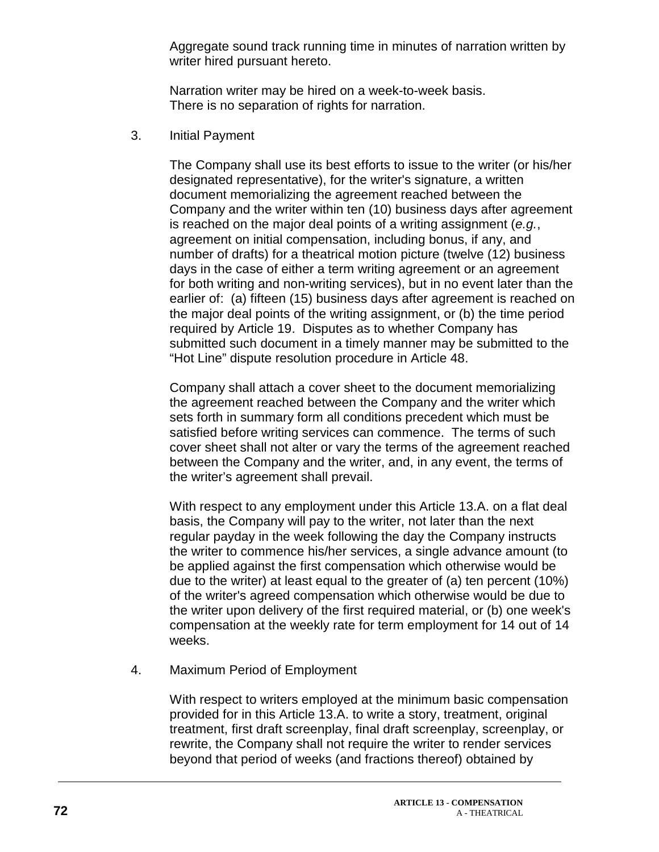Aggregate sound track running time in minutes of narration written by writer hired pursuant hereto.

Narration writer may be hired on a week-to-week basis. There is no separation of rights for narration.

3. Initial Payment

The Company shall use its best efforts to issue to the writer (or his/her designated representative), for the writer's signature, a written document memorializing the agreement reached between the Company and the writer within ten (10) business days after agreement is reached on the major deal points of a writing assignment (*e.g.*, agreement on initial compensation, including bonus, if any, and number of drafts) for a theatrical motion picture (twelve (12) business days in the case of either a term writing agreement or an agreement for both writing and non-writing services), but in no event later than the earlier of: (a) fifteen (15) business days after agreement is reached on the major deal points of the writing assignment, or (b) the time period required by Article 19. Disputes as to whether Company has submitted such document in a timely manner may be submitted to the "Hot Line" dispute resolution procedure in Article 48.

Company shall attach a cover sheet to the document memorializing the agreement reached between the Company and the writer which sets forth in summary form all conditions precedent which must be satisfied before writing services can commence. The terms of such cover sheet shall not alter or vary the terms of the agreement reached between the Company and the writer, and, in any event, the terms of the writer's agreement shall prevail.

With respect to any employment under this Article 13.A. on a flat deal basis, the Company will pay to the writer, not later than the next regular payday in the week following the day the Company instructs the writer to commence his/her services, a single advance amount (to be applied against the first compensation which otherwise would be due to the writer) at least equal to the greater of (a) ten percent (10%) of the writer's agreed compensation which otherwise would be due to the writer upon delivery of the first required material, or (b) one week's compensation at the weekly rate for term employment for 14 out of 14 weeks.

4. Maximum Period of Employment

With respect to writers employed at the minimum basic compensation provided for in this Article 13.A. to write a story, treatment, original treatment, first draft screenplay, final draft screenplay, screenplay, or rewrite, the Company shall not require the writer to render services beyond that period of weeks (and fractions thereof) obtained by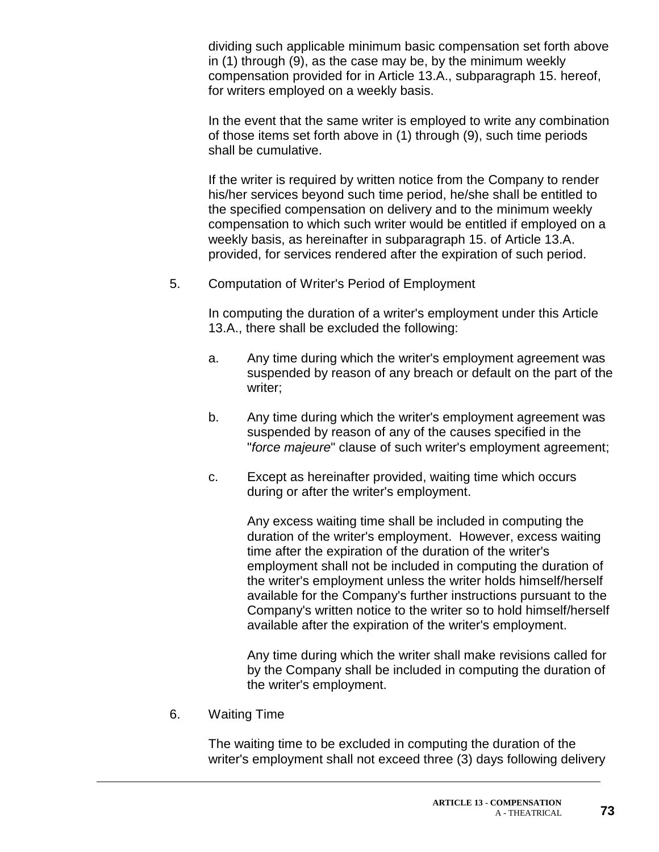dividing such applicable minimum basic compensation set forth above in (1) through (9), as the case may be, by the minimum weekly compensation provided for in Article 13.A., subparagraph 15. hereof, for writers employed on a weekly basis.

In the event that the same writer is employed to write any combination of those items set forth above in (1) through (9), such time periods shall be cumulative.

If the writer is required by written notice from the Company to render his/her services beyond such time period, he/she shall be entitled to the specified compensation on delivery and to the minimum weekly compensation to which such writer would be entitled if employed on a weekly basis, as hereinafter in subparagraph 15. of Article 13.A. provided, for services rendered after the expiration of such period.

5. Computation of Writer's Period of Employment

In computing the duration of a writer's employment under this Article 13.A., there shall be excluded the following:

- a. Any time during which the writer's employment agreement was suspended by reason of any breach or default on the part of the writer;
- b. Any time during which the writer's employment agreement was suspended by reason of any of the causes specified in the "*force majeure*" clause of such writer's employment agreement;
- c. Except as hereinafter provided, waiting time which occurs during or after the writer's employment.

Any excess waiting time shall be included in computing the duration of the writer's employment. However, excess waiting time after the expiration of the duration of the writer's employment shall not be included in computing the duration of the writer's employment unless the writer holds himself/herself available for the Company's further instructions pursuant to the Company's written notice to the writer so to hold himself/herself available after the expiration of the writer's employment.

Any time during which the writer shall make revisions called for by the Company shall be included in computing the duration of the writer's employment.

6. Waiting Time

The waiting time to be excluded in computing the duration of the writer's employment shall not exceed three (3) days following delivery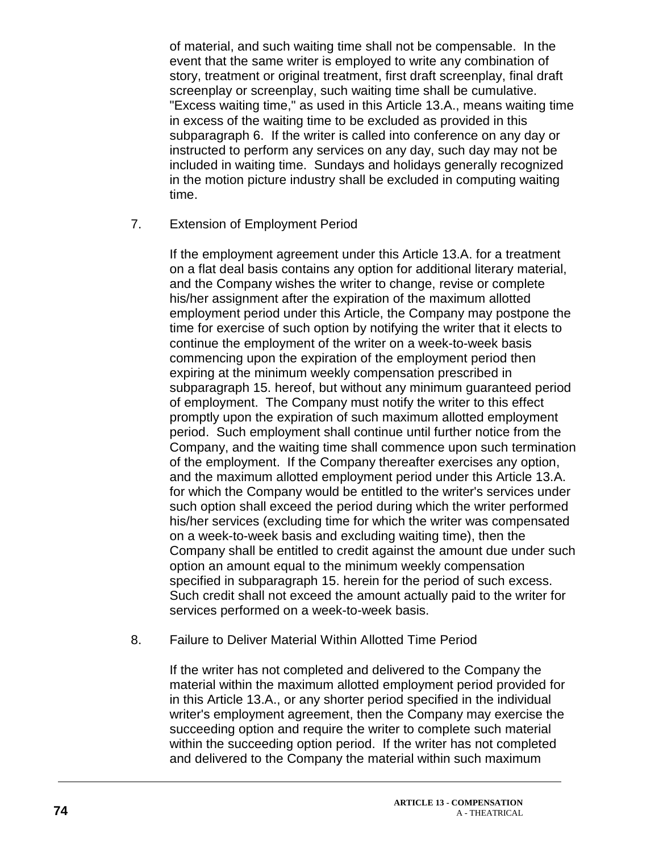of material, and such waiting time shall not be compensable. In the event that the same writer is employed to write any combination of story, treatment or original treatment, first draft screenplay, final draft screenplay or screenplay, such waiting time shall be cumulative. "Excess waiting time," as used in this Article 13.A., means waiting time in excess of the waiting time to be excluded as provided in this subparagraph 6. If the writer is called into conference on any day or instructed to perform any services on any day, such day may not be included in waiting time. Sundays and holidays generally recognized in the motion picture industry shall be excluded in computing waiting time.

7. Extension of Employment Period

If the employment agreement under this Article 13.A. for a treatment on a flat deal basis contains any option for additional literary material, and the Company wishes the writer to change, revise or complete his/her assignment after the expiration of the maximum allotted employment period under this Article, the Company may postpone the time for exercise of such option by notifying the writer that it elects to continue the employment of the writer on a week-to-week basis commencing upon the expiration of the employment period then expiring at the minimum weekly compensation prescribed in subparagraph 15. hereof, but without any minimum guaranteed period of employment. The Company must notify the writer to this effect promptly upon the expiration of such maximum allotted employment period. Such employment shall continue until further notice from the Company, and the waiting time shall commence upon such termination of the employment. If the Company thereafter exercises any option, and the maximum allotted employment period under this Article 13.A. for which the Company would be entitled to the writer's services under such option shall exceed the period during which the writer performed his/her services (excluding time for which the writer was compensated on a week-to-week basis and excluding waiting time), then the Company shall be entitled to credit against the amount due under such option an amount equal to the minimum weekly compensation specified in subparagraph 15. herein for the period of such excess. Such credit shall not exceed the amount actually paid to the writer for services performed on a week-to-week basis.

8. Failure to Deliver Material Within Allotted Time Period

If the writer has not completed and delivered to the Company the material within the maximum allotted employment period provided for in this Article 13.A., or any shorter period specified in the individual writer's employment agreement, then the Company may exercise the succeeding option and require the writer to complete such material within the succeeding option period. If the writer has not completed and delivered to the Company the material within such maximum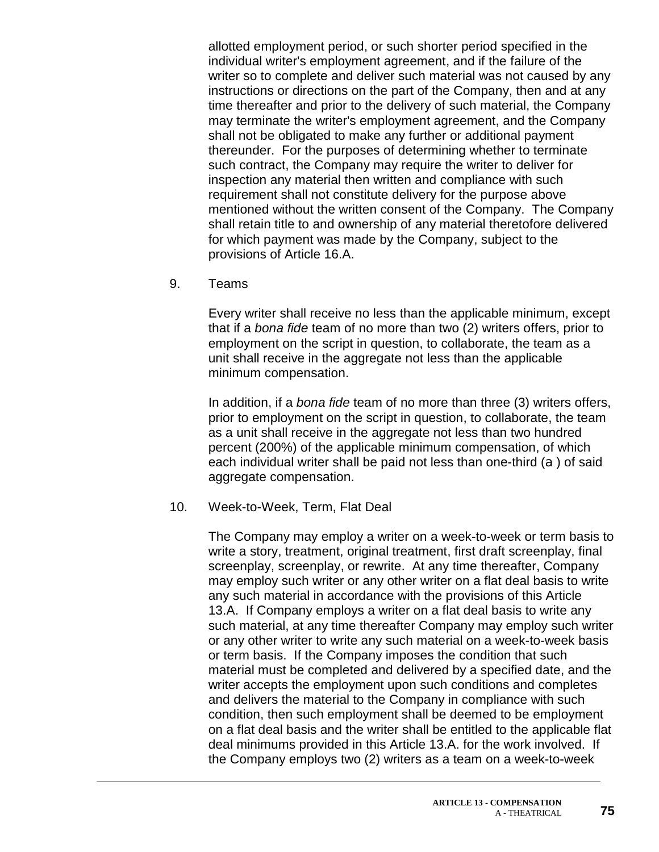allotted employment period, or such shorter period specified in the individual writer's employment agreement, and if the failure of the writer so to complete and deliver such material was not caused by any instructions or directions on the part of the Company, then and at any time thereafter and prior to the delivery of such material, the Company may terminate the writer's employment agreement, and the Company shall not be obligated to make any further or additional payment thereunder. For the purposes of determining whether to terminate such contract, the Company may require the writer to deliver for inspection any material then written and compliance with such requirement shall not constitute delivery for the purpose above mentioned without the written consent of the Company. The Company shall retain title to and ownership of any material theretofore delivered for which payment was made by the Company, subject to the provisions of Article 16.A.

9. Teams

Every writer shall receive no less than the applicable minimum, except that if a *bona fide* team of no more than two (2) writers offers, prior to employment on the script in question, to collaborate, the team as a unit shall receive in the aggregate not less than the applicable minimum compensation.

In addition, if a *bona fide* team of no more than three (3) writers offers, prior to employment on the script in question, to collaborate, the team as a unit shall receive in the aggregate not less than two hundred percent (200%) of the applicable minimum compensation, of which each individual writer shall be paid not less than one-third (a) of said aggregate compensation.

10. Week-to-Week, Term, Flat Deal

The Company may employ a writer on a week-to-week or term basis to write a story, treatment, original treatment, first draft screenplay, final screenplay, screenplay, or rewrite. At any time thereafter, Company may employ such writer or any other writer on a flat deal basis to write any such material in accordance with the provisions of this Article 13.A. If Company employs a writer on a flat deal basis to write any such material, at any time thereafter Company may employ such writer or any other writer to write any such material on a week-to-week basis or term basis. If the Company imposes the condition that such material must be completed and delivered by a specified date, and the writer accepts the employment upon such conditions and completes and delivers the material to the Company in compliance with such condition, then such employment shall be deemed to be employment on a flat deal basis and the writer shall be entitled to the applicable flat deal minimums provided in this Article 13.A. for the work involved. If the Company employs two (2) writers as a team on a week-to-week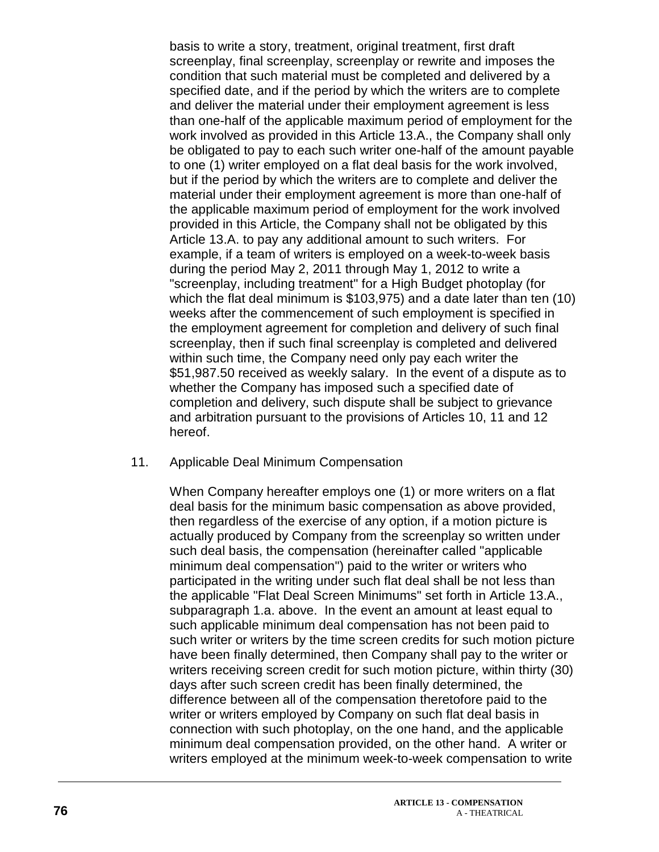basis to write a story, treatment, original treatment, first draft screenplay, final screenplay, screenplay or rewrite and imposes the condition that such material must be completed and delivered by a specified date, and if the period by which the writers are to complete and deliver the material under their employment agreement is less than one-half of the applicable maximum period of employment for the work involved as provided in this Article 13.A., the Company shall only be obligated to pay to each such writer one-half of the amount payable to one (1) writer employed on a flat deal basis for the work involved, but if the period by which the writers are to complete and deliver the material under their employment agreement is more than one-half of the applicable maximum period of employment for the work involved provided in this Article, the Company shall not be obligated by this Article 13.A. to pay any additional amount to such writers. For example, if a team of writers is employed on a week-to-week basis during the period May 2, 2011 through May 1, 2012 to write a "screenplay, including treatment" for a High Budget photoplay (for which the flat deal minimum is \$103,975) and a date later than ten (10) weeks after the commencement of such employment is specified in the employment agreement for completion and delivery of such final screenplay, then if such final screenplay is completed and delivered within such time, the Company need only pay each writer the \$51,987.50 received as weekly salary. In the event of a dispute as to whether the Company has imposed such a specified date of completion and delivery, such dispute shall be subject to grievance and arbitration pursuant to the provisions of Articles 10, 11 and 12 hereof.

#### 11. Applicable Deal Minimum Compensation

When Company hereafter employs one (1) or more writers on a flat deal basis for the minimum basic compensation as above provided, then regardless of the exercise of any option, if a motion picture is actually produced by Company from the screenplay so written under such deal basis, the compensation (hereinafter called "applicable minimum deal compensation") paid to the writer or writers who participated in the writing under such flat deal shall be not less than the applicable "Flat Deal Screen Minimums" set forth in Article 13.A., subparagraph 1.a. above. In the event an amount at least equal to such applicable minimum deal compensation has not been paid to such writer or writers by the time screen credits for such motion picture have been finally determined, then Company shall pay to the writer or writers receiving screen credit for such motion picture, within thirty (30) days after such screen credit has been finally determined, the difference between all of the compensation theretofore paid to the writer or writers employed by Company on such flat deal basis in connection with such photoplay, on the one hand, and the applicable minimum deal compensation provided, on the other hand. A writer or writers employed at the minimum week-to-week compensation to write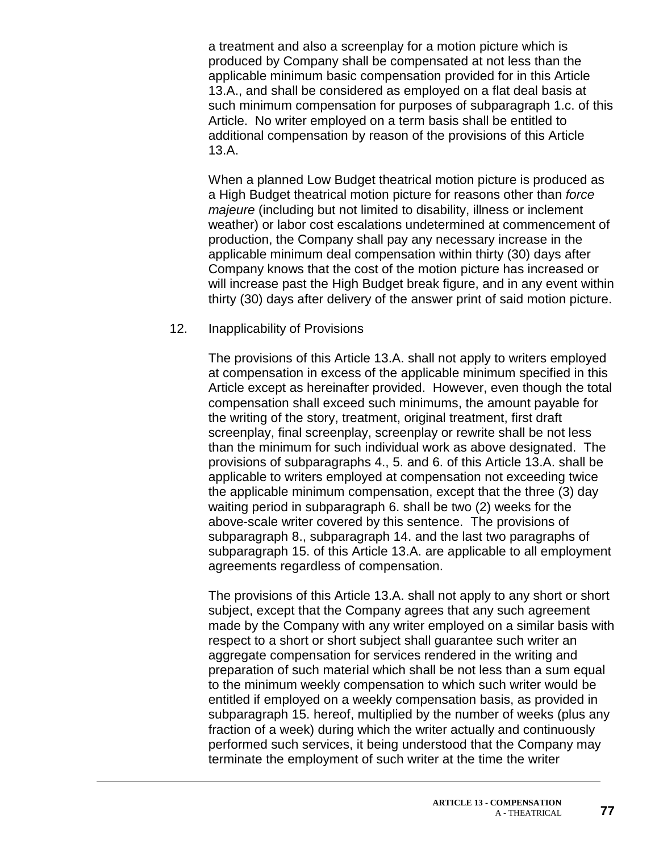a treatment and also a screenplay for a motion picture which is produced by Company shall be compensated at not less than the applicable minimum basic compensation provided for in this Article 13.A., and shall be considered as employed on a flat deal basis at such minimum compensation for purposes of subparagraph 1.c. of this Article. No writer employed on a term basis shall be entitled to additional compensation by reason of the provisions of this Article 13.A.

When a planned Low Budget theatrical motion picture is produced as a High Budget theatrical motion picture for reasons other than *force majeure* (including but not limited to disability, illness or inclement weather) or labor cost escalations undetermined at commencement of production, the Company shall pay any necessary increase in the applicable minimum deal compensation within thirty (30) days after Company knows that the cost of the motion picture has increased or will increase past the High Budget break figure, and in any event within thirty (30) days after delivery of the answer print of said motion picture.

#### 12. Inapplicability of Provisions

The provisions of this Article 13.A. shall not apply to writers employed at compensation in excess of the applicable minimum specified in this Article except as hereinafter provided. However, even though the total compensation shall exceed such minimums, the amount payable for the writing of the story, treatment, original treatment, first draft screenplay, final screenplay, screenplay or rewrite shall be not less than the minimum for such individual work as above designated. The provisions of subparagraphs 4., 5. and 6. of this Article 13.A. shall be applicable to writers employed at compensation not exceeding twice the applicable minimum compensation, except that the three (3) day waiting period in subparagraph 6. shall be two (2) weeks for the above-scale writer covered by this sentence. The provisions of subparagraph 8., subparagraph 14. and the last two paragraphs of subparagraph 15. of this Article 13.A. are applicable to all employment agreements regardless of compensation.

The provisions of this Article 13.A. shall not apply to any short or short subject, except that the Company agrees that any such agreement made by the Company with any writer employed on a similar basis with respect to a short or short subject shall guarantee such writer an aggregate compensation for services rendered in the writing and preparation of such material which shall be not less than a sum equal to the minimum weekly compensation to which such writer would be entitled if employed on a weekly compensation basis, as provided in subparagraph 15. hereof, multiplied by the number of weeks (plus any fraction of a week) during which the writer actually and continuously performed such services, it being understood that the Company may terminate the employment of such writer at the time the writer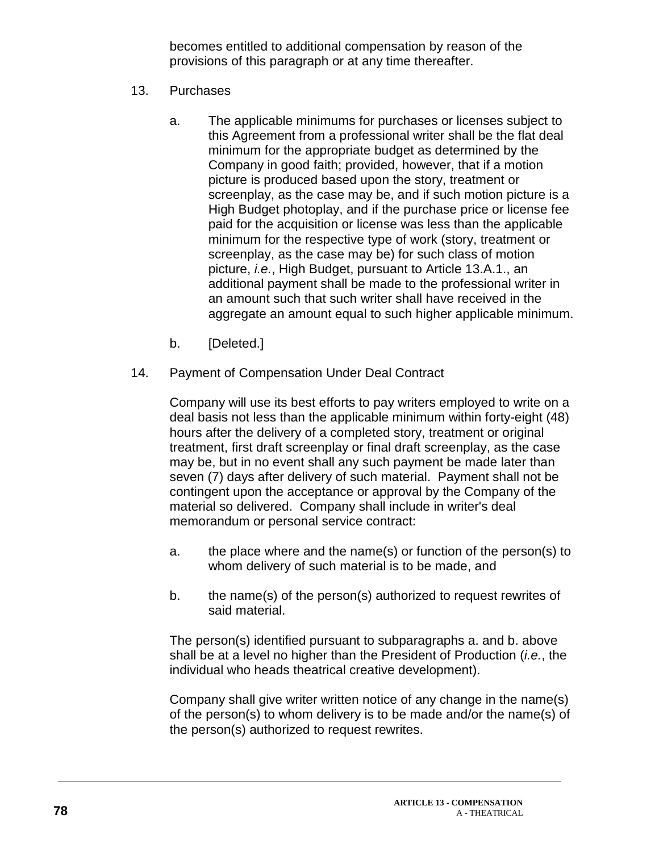becomes entitled to additional compensation by reason of the provisions of this paragraph or at any time thereafter.

- 13. Purchases
	- a. The applicable minimums for purchases or licenses subject to this Agreement from a professional writer shall be the flat deal minimum for the appropriate budget as determined by the Company in good faith; provided, however, that if a motion picture is produced based upon the story, treatment or screenplay, as the case may be, and if such motion picture is a High Budget photoplay, and if the purchase price or license fee paid for the acquisition or license was less than the applicable minimum for the respective type of work (story, treatment or screenplay, as the case may be) for such class of motion picture, *i.e.*, High Budget, pursuant to Article 13.A.1., an additional payment shall be made to the professional writer in an amount such that such writer shall have received in the aggregate an amount equal to such higher applicable minimum.
	- b. [Deleted.]
- 14. Payment of Compensation Under Deal Contract

Company will use its best efforts to pay writers employed to write on a deal basis not less than the applicable minimum within forty-eight (48) hours after the delivery of a completed story, treatment or original treatment, first draft screenplay or final draft screenplay, as the case may be, but in no event shall any such payment be made later than seven (7) days after delivery of such material. Payment shall not be contingent upon the acceptance or approval by the Company of the material so delivered. Company shall include in writer's deal memorandum or personal service contract:

- a. the place where and the name(s) or function of the person(s) to whom delivery of such material is to be made, and
- b. the name(s) of the person(s) authorized to request rewrites of said material.

The person(s) identified pursuant to subparagraphs a. and b. above shall be at a level no higher than the President of Production (*i.e.*, the individual who heads theatrical creative development).

Company shall give writer written notice of any change in the name(s) of the person(s) to whom delivery is to be made and/or the name(s) of the person(s) authorized to request rewrites.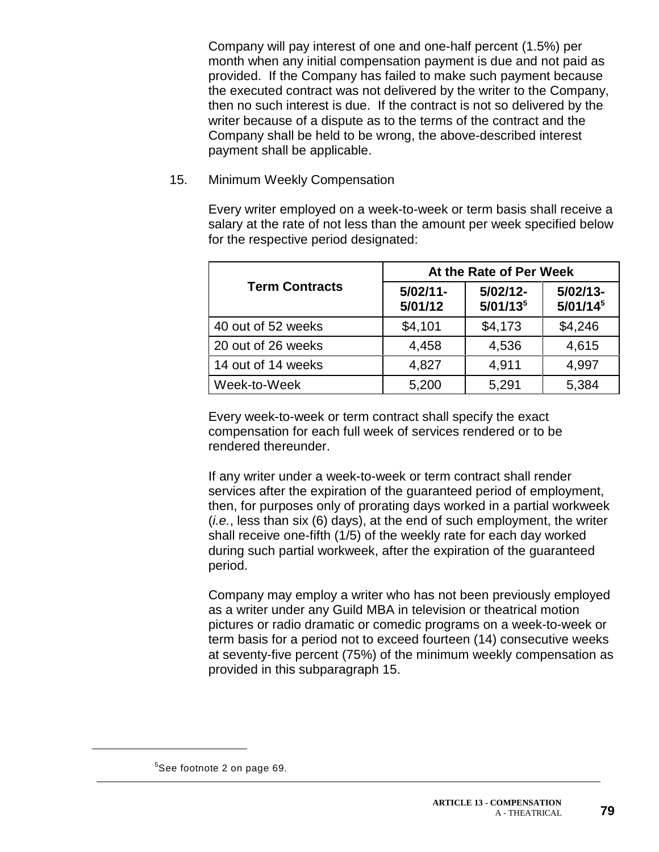Company will pay interest of one and one-half percent (1.5%) per month when any initial compensation payment is due and not paid as provided. If the Company has failed to make such payment because the executed contract was not delivered by the writer to the Company, then no such interest is due. If the contract is not so delivered by the writer because of a dispute as to the terms of the contract and the Company shall be held to be wrong, the above-described interest payment shall be applicable.

15. Minimum Weekly Compensation

Every writer employed on a week-to-week or term basis shall receive a salary at the rate of not less than the amount per week specified below for the respective period designated:

|                       | At the Rate of Per Week |                           |                           |  |
|-----------------------|-------------------------|---------------------------|---------------------------|--|
| <b>Term Contracts</b> | $5/02/11-$<br>5/01/12   | $5/02/12-$<br>$5/01/13^5$ | $5/02/13-$<br>$5/01/14^5$ |  |
| 40 out of 52 weeks    | \$4,101                 | \$4,173                   | \$4,246                   |  |
| 20 out of 26 weeks    | 4,458                   | 4,536                     | 4,615                     |  |
| 14 out of 14 weeks    | 4,827                   | 4,911                     | 4,997                     |  |
| Week-to-Week          | 5,200                   | 5,291                     | 5,384                     |  |

Every week-to-week or term contract shall specify the exact compensation for each full week of services rendered or to be rendered thereunder.

If any writer under a week-to-week or term contract shall render services after the expiration of the guaranteed period of employment, then, for purposes only of prorating days worked in a partial workweek (*i.e.*, less than six (6) days), at the end of such employment, the writer shall receive one-fifth (1/5) of the weekly rate for each day worked during such partial workweek, after the expiration of the guaranteed period.

Company may employ a writer who has not been previously employed as a writer under any Guild MBA in television or theatrical motion pictures or radio dramatic or comedic programs on a week-to-week or term basis for a period not to exceed fourteen (14) consecutive weeks at seventy-five percent (75%) of the minimum weekly compensation as provided in this subparagraph 15.

 $5$ See footnote 2 on page 69.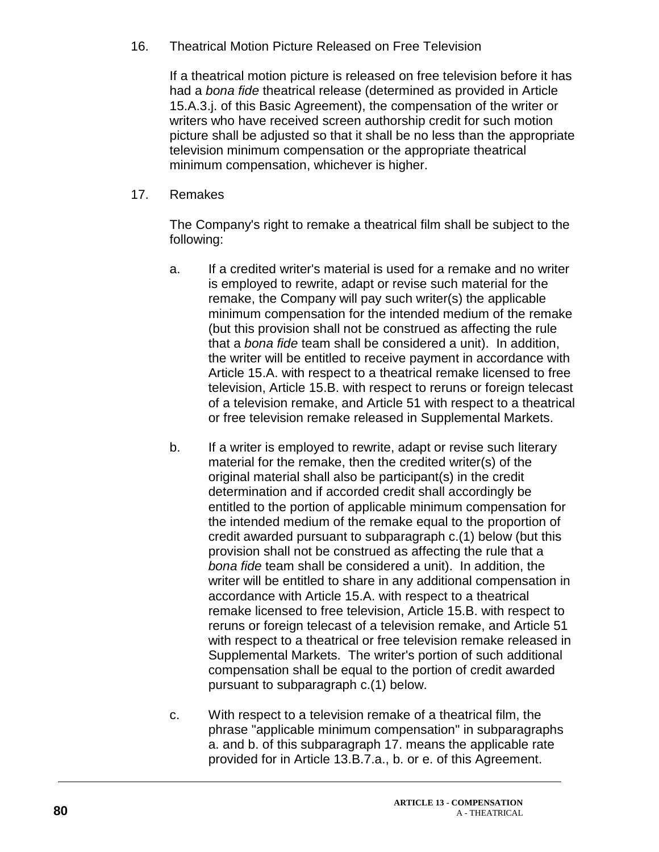16. Theatrical Motion Picture Released on Free Television

If a theatrical motion picture is released on free television before it has had a *bona fide* theatrical release (determined as provided in Article 15.A.3.j. of this Basic Agreement), the compensation of the writer or writers who have received screen authorship credit for such motion picture shall be adjusted so that it shall be no less than the appropriate television minimum compensation or the appropriate theatrical minimum compensation, whichever is higher.

17. Remakes

The Company's right to remake a theatrical film shall be subject to the following:

- a. If a credited writer's material is used for a remake and no writer is employed to rewrite, adapt or revise such material for the remake, the Company will pay such writer(s) the applicable minimum compensation for the intended medium of the remake (but this provision shall not be construed as affecting the rule that a *bona fide* team shall be considered a unit). In addition, the writer will be entitled to receive payment in accordance with Article 15.A. with respect to a theatrical remake licensed to free television, Article 15.B. with respect to reruns or foreign telecast of a television remake, and Article 51 with respect to a theatrical or free television remake released in Supplemental Markets.
- b. If a writer is employed to rewrite, adapt or revise such literary material for the remake, then the credited writer(s) of the original material shall also be participant(s) in the credit determination and if accorded credit shall accordingly be entitled to the portion of applicable minimum compensation for the intended medium of the remake equal to the proportion of credit awarded pursuant to subparagraph c.(1) below (but this provision shall not be construed as affecting the rule that a *bona fide* team shall be considered a unit). In addition, the writer will be entitled to share in any additional compensation in accordance with Article 15.A. with respect to a theatrical remake licensed to free television, Article 15.B. with respect to reruns or foreign telecast of a television remake, and Article 51 with respect to a theatrical or free television remake released in Supplemental Markets. The writer's portion of such additional compensation shall be equal to the portion of credit awarded pursuant to subparagraph c.(1) below.
- c. With respect to a television remake of a theatrical film, the phrase "applicable minimum compensation" in subparagraphs a. and b. of this subparagraph 17. means the applicable rate provided for in Article 13.B.7.a., b. or e. of this Agreement.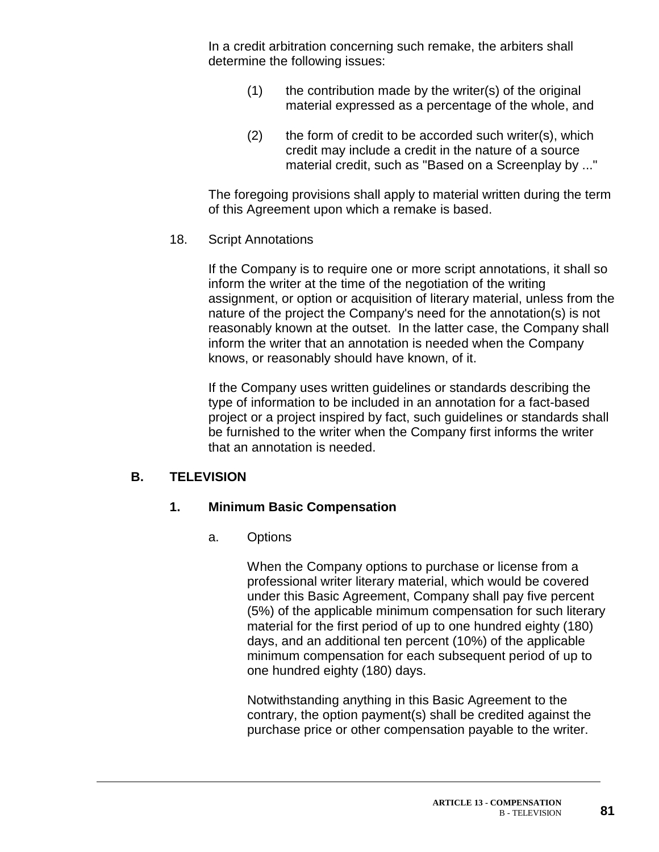In a credit arbitration concerning such remake, the arbiters shall determine the following issues:

- $(1)$  the contribution made by the writer(s) of the original material expressed as a percentage of the whole, and
- (2) the form of credit to be accorded such writer(s), which credit may include a credit in the nature of a source material credit, such as "Based on a Screenplay by ..."

The foregoing provisions shall apply to material written during the term of this Agreement upon which a remake is based.

18. Script Annotations

If the Company is to require one or more script annotations, it shall so inform the writer at the time of the negotiation of the writing assignment, or option or acquisition of literary material, unless from the nature of the project the Company's need for the annotation(s) is not reasonably known at the outset. In the latter case, the Company shall inform the writer that an annotation is needed when the Company knows, or reasonably should have known, of it.

If the Company uses written guidelines or standards describing the type of information to be included in an annotation for a fact-based project or a project inspired by fact, such guidelines or standards shall be furnished to the writer when the Company first informs the writer that an annotation is needed.

### **B. TELEVISION**

### **1. Minimum Basic Compensation**

### a. Options

When the Company options to purchase or license from a professional writer literary material, which would be covered under this Basic Agreement, Company shall pay five percent (5%) of the applicable minimum compensation for such literary material for the first period of up to one hundred eighty (180) days, and an additional ten percent (10%) of the applicable minimum compensation for each subsequent period of up to one hundred eighty (180) days.

Notwithstanding anything in this Basic Agreement to the contrary, the option payment(s) shall be credited against the purchase price or other compensation payable to the writer.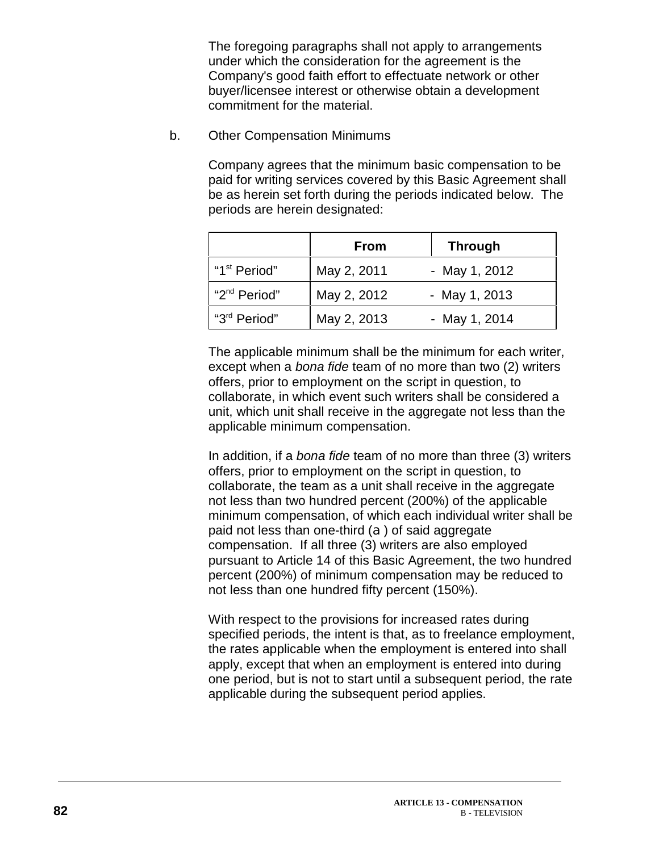The foregoing paragraphs shall not apply to arrangements under which the consideration for the agreement is the Company's good faith effort to effectuate network or other buyer/licensee interest or otherwise obtain a development commitment for the material.

b. Other Compensation Minimums

Company agrees that the minimum basic compensation to be paid for writing services covered by this Basic Agreement shall be as herein set forth during the periods indicated below. The periods are herein designated:

|                          | <b>From</b> | <b>Through</b> |
|--------------------------|-------------|----------------|
| "1 <sup>st</sup> Period" | May 2, 2011 | - May 1, 2012  |
| "2 <sup>nd</sup> Period" | May 2, 2012 | - May 1, 2013  |
| "3 <sup>rd</sup> Period" | May 2, 2013 | - May 1, 2014  |

The applicable minimum shall be the minimum for each writer, except when a *bona fide* team of no more than two (2) writers offers, prior to employment on the script in question, to collaborate, in which event such writers shall be considered a unit, which unit shall receive in the aggregate not less than the applicable minimum compensation.

In addition, if a *bona fide* team of no more than three (3) writers offers, prior to employment on the script in question, to collaborate, the team as a unit shall receive in the aggregate not less than two hundred percent (200%) of the applicable minimum compensation, of which each individual writer shall be paid not less than one-third  $(a)$  of said aggregate compensation. If all three (3) writers are also employed pursuant to Article 14 of this Basic Agreement, the two hundred percent (200%) of minimum compensation may be reduced to not less than one hundred fifty percent (150%).

With respect to the provisions for increased rates during specified periods, the intent is that, as to freelance employment, the rates applicable when the employment is entered into shall apply, except that when an employment is entered into during one period, but is not to start until a subsequent period, the rate applicable during the subsequent period applies.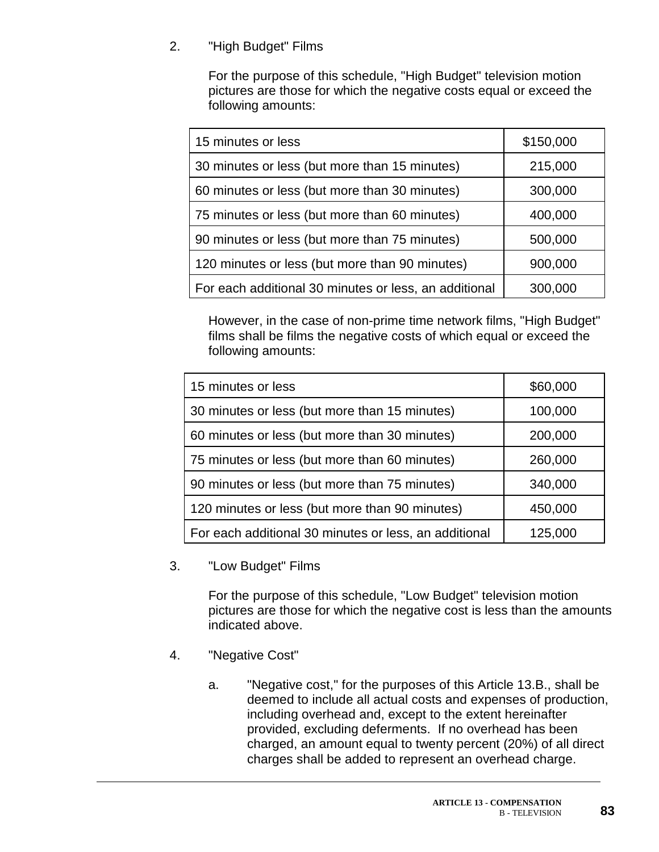## 2. "High Budget" Films

For the purpose of this schedule, "High Budget" television motion pictures are those for which the negative costs equal or exceed the following amounts:

| 15 minutes or less                                    | \$150,000 |
|-------------------------------------------------------|-----------|
| 30 minutes or less (but more than 15 minutes)         | 215,000   |
| 60 minutes or less (but more than 30 minutes)         | 300,000   |
| 75 minutes or less (but more than 60 minutes)         | 400,000   |
| 90 minutes or less (but more than 75 minutes)         | 500,000   |
| 120 minutes or less (but more than 90 minutes)        | 900,000   |
| For each additional 30 minutes or less, an additional | 300,000   |

However, in the case of non-prime time network films, "High Budget" films shall be films the negative costs of which equal or exceed the following amounts:

| 15 minutes or less                                    | \$60,000 |
|-------------------------------------------------------|----------|
| 30 minutes or less (but more than 15 minutes)         | 100,000  |
| 60 minutes or less (but more than 30 minutes)         | 200,000  |
| 75 minutes or less (but more than 60 minutes)         | 260,000  |
| 90 minutes or less (but more than 75 minutes)         | 340,000  |
| 120 minutes or less (but more than 90 minutes)        | 450,000  |
| For each additional 30 minutes or less, an additional | 125,000  |

### 3. "Low Budget" Films

For the purpose of this schedule, "Low Budget" television motion pictures are those for which the negative cost is less than the amounts indicated above.

- 4. "Negative Cost"
	- a. "Negative cost," for the purposes of this Article 13.B., shall be deemed to include all actual costs and expenses of production, including overhead and, except to the extent hereinafter provided, excluding deferments. If no overhead has been charged, an amount equal to twenty percent (20%) of all direct charges shall be added to represent an overhead charge.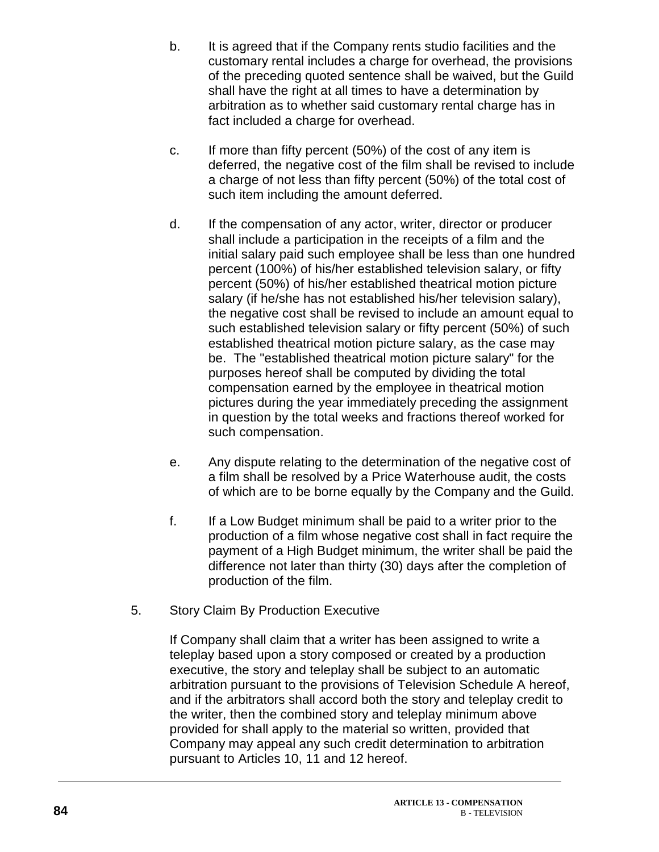- b. It is agreed that if the Company rents studio facilities and the customary rental includes a charge for overhead, the provisions of the preceding quoted sentence shall be waived, but the Guild shall have the right at all times to have a determination by arbitration as to whether said customary rental charge has in fact included a charge for overhead.
- c. If more than fifty percent (50%) of the cost of any item is deferred, the negative cost of the film shall be revised to include a charge of not less than fifty percent (50%) of the total cost of such item including the amount deferred.
- d. If the compensation of any actor, writer, director or producer shall include a participation in the receipts of a film and the initial salary paid such employee shall be less than one hundred percent (100%) of his/her established television salary, or fifty percent (50%) of his/her established theatrical motion picture salary (if he/she has not established his/her television salary), the negative cost shall be revised to include an amount equal to such established television salary or fifty percent (50%) of such established theatrical motion picture salary, as the case may be. The "established theatrical motion picture salary" for the purposes hereof shall be computed by dividing the total compensation earned by the employee in theatrical motion pictures during the year immediately preceding the assignment in question by the total weeks and fractions thereof worked for such compensation.
- e. Any dispute relating to the determination of the negative cost of a film shall be resolved by a Price Waterhouse audit, the costs of which are to be borne equally by the Company and the Guild.
- f. If a Low Budget minimum shall be paid to a writer prior to the production of a film whose negative cost shall in fact require the payment of a High Budget minimum, the writer shall be paid the difference not later than thirty (30) days after the completion of production of the film.
- 5. Story Claim By Production Executive

If Company shall claim that a writer has been assigned to write a teleplay based upon a story composed or created by a production executive, the story and teleplay shall be subject to an automatic arbitration pursuant to the provisions of Television Schedule A hereof, and if the arbitrators shall accord both the story and teleplay credit to the writer, then the combined story and teleplay minimum above provided for shall apply to the material so written, provided that Company may appeal any such credit determination to arbitration pursuant to Articles 10, 11 and 12 hereof.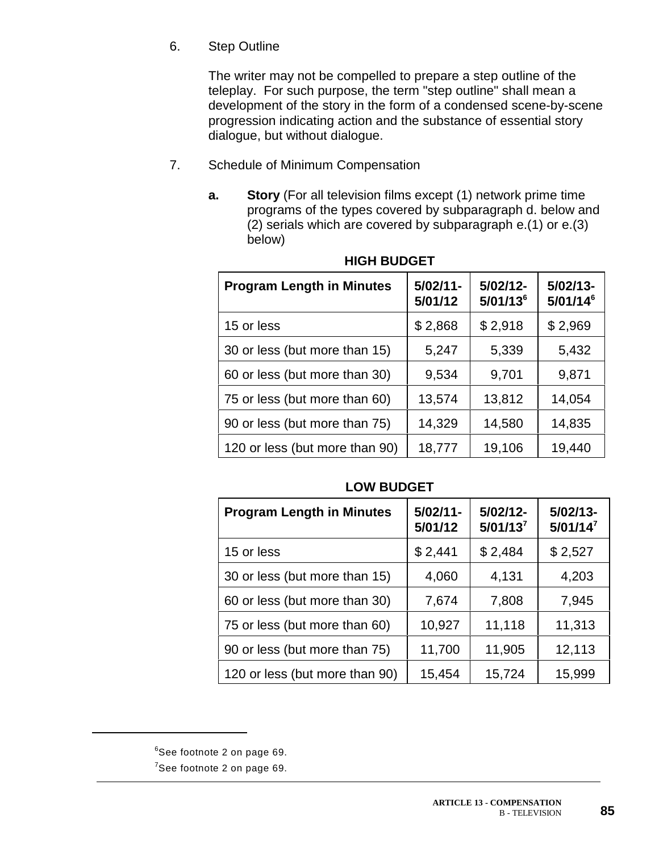6. Step Outline

The writer may not be compelled to prepare a step outline of the teleplay. For such purpose, the term "step outline" shall mean a development of the story in the form of a condensed scene-by-scene progression indicating action and the substance of essential story dialogue, but without dialogue.

- 7. Schedule of Minimum Compensation
	- **a. Story** (For all television films except (1) network prime time programs of the types covered by subparagraph d. below and (2) serials which are covered by subparagraph e.(1) or e.(3) below)

| <b>Program Length in Minutes</b> | $5/02/11-$<br>5/01/12 | $5/02/12-$<br>$5/01/13^6$ | $5/02/13-$<br>$5/01/14^6$ |
|----------------------------------|-----------------------|---------------------------|---------------------------|
| 15 or less                       | \$2,868               | \$2,918                   | \$2,969                   |
| 30 or less (but more than 15)    | 5,247                 | 5,339                     | 5,432                     |
| 60 or less (but more than 30)    | 9,534                 | 9,701                     | 9,871                     |
| 75 or less (but more than 60)    | 13,574                | 13,812                    | 14,054                    |
| 90 or less (but more than 75)    | 14,329                | 14,580                    | 14,835                    |
| 120 or less (but more than 90)   | 18,777                | 19,106                    | 19,440                    |

#### **HIGH BUDGET**

### **LOW BUDGET**

| <b>Program Length in Minutes</b> | $5/02/11-$<br>5/01/12 | $5/02/12-$<br>5/01/13 <sup>7</sup> | $5/02/13-$<br>5/01/14 <sup>7</sup> |
|----------------------------------|-----------------------|------------------------------------|------------------------------------|
| 15 or less                       | \$2,441               | \$2,484                            | \$2,527                            |
| 30 or less (but more than 15)    | 4,060                 | 4,131                              | 4,203                              |
| 60 or less (but more than 30)    | 7,674                 | 7,808                              | 7,945                              |
| 75 or less (but more than 60)    | 10,927                | 11,118                             | 11,313                             |
| 90 or less (but more than 75)    | 11,700                | 11,905                             | 12,113                             |
| 120 or less (but more than 90)   | 15,454                | 15,724                             | 15,999                             |

 $^6$ See footnote 2 on page 69.

 $7$ See footnote 2 on page 69.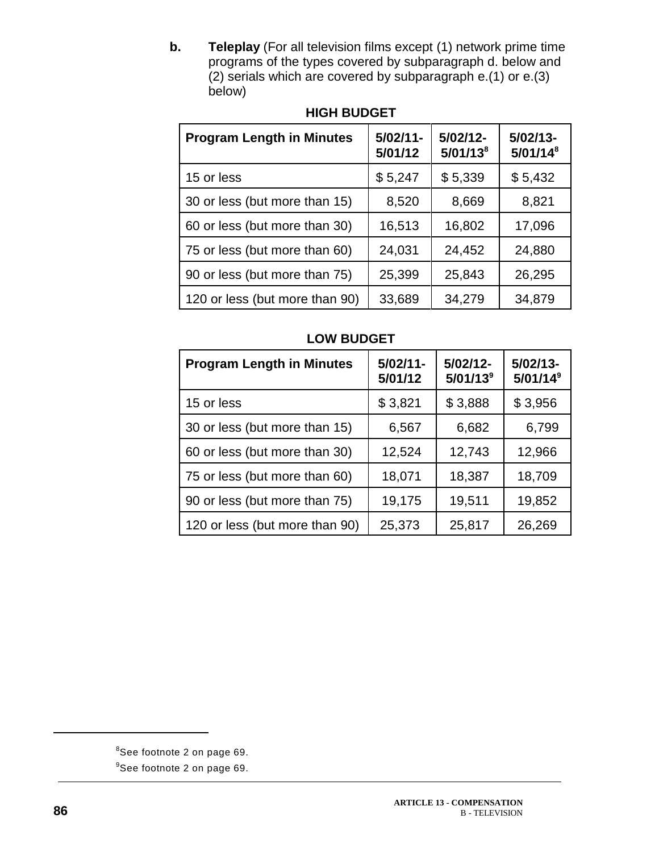**b. Teleplay** (For all television films except (1) network prime time programs of the types covered by subparagraph d. below and (2) serials which are covered by subparagraph e.(1) or e.(3) below)

| <b>Program Length in Minutes</b> | $5/02/11$ -<br>5/01/12 | $5/02/12-$<br>5/01/13 <sup>8</sup> | $5/02/13-$<br>$5/01/14^8$ |
|----------------------------------|------------------------|------------------------------------|---------------------------|
| 15 or less                       | \$5,247                | \$5,339                            | \$5,432                   |
| 30 or less (but more than 15)    | 8,520                  | 8,669                              | 8,821                     |
| 60 or less (but more than 30)    | 16,513                 | 16,802                             | 17,096                    |
| 75 or less (but more than 60)    | 24,031                 | 24,452                             | 24,880                    |
| 90 or less (but more than 75)    | 25,399                 | 25,843                             | 26,295                    |
| 120 or less (but more than 90)   | 33,689                 | 34,279                             | 34,879                    |

# **HIGH BUDGET**

### **LOW BUDGET**

| <b>Program Length in Minutes</b> | $5/02/11-$<br>5/01/12 | $5/02/12-$<br>5/01/13 <sup>9</sup> | $5/02/13-$<br>$5/01/14^9$ |
|----------------------------------|-----------------------|------------------------------------|---------------------------|
| 15 or less                       | \$3,821               | \$3,888                            | \$3,956                   |
| 30 or less (but more than 15)    | 6,567                 | 6,682                              | 6,799                     |
| 60 or less (but more than 30)    | 12,524                | 12,743                             | 12,966                    |
| 75 or less (but more than 60)    | 18,071                | 18,387                             | 18,709                    |
| 90 or less (but more than 75)    | 19,175                | 19,511                             | 19,852                    |
| 120 or less (but more than 90)   | 25,373                | 25,817                             | 26,269                    |

 ${}^{8}$ See footnote 2 on page 69.

 $^9$ See footnote 2 on page 69.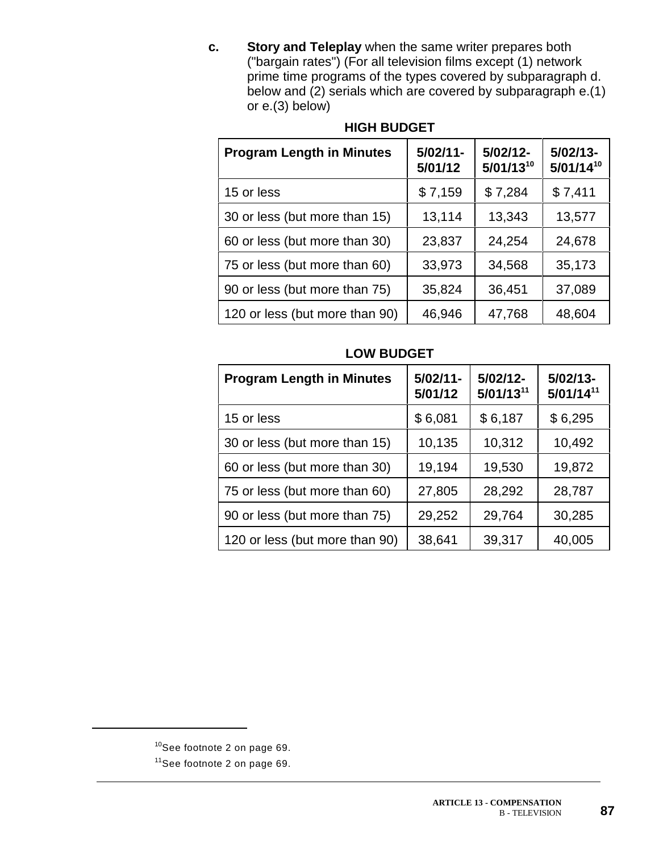**c. Story and Teleplay** when the same writer prepares both ("bargain rates") (For all television films except (1) network prime time programs of the types covered by subparagraph d. below and (2) serials which are covered by subparagraph e.(1) or e.(3) below)

| <b>Program Length in Minutes</b> | $5/02/11-$<br>5/01/12 | $5/02/12$ -<br>$5/01/13^{10}$ | $5/02/13-$<br>$5/01/14^{10}$ |
|----------------------------------|-----------------------|-------------------------------|------------------------------|
| 15 or less                       | \$7,159               | \$7,284                       | \$7,411                      |
| 30 or less (but more than 15)    | 13,114                | 13,343                        | 13,577                       |
| 60 or less (but more than 30)    | 23,837                | 24,254                        | 24,678                       |
| 75 or less (but more than 60)    | 33,973                | 34,568                        | 35,173                       |
| 90 or less (but more than 75)    | 35,824                | 36,451                        | 37,089                       |
| 120 or less (but more than 90)   | 46,946                | 47,768                        | 48,604                       |

### **HIGH BUDGET**

#### **LOW BUDGET**

| <b>Program Length in Minutes</b> | $5/02/11-$<br>5/01/12 | $5/02/12-$<br>$5/01/13^{11}$ | $5/02/13-$<br>$5/01/14^{11}$ |
|----------------------------------|-----------------------|------------------------------|------------------------------|
| 15 or less                       | \$6,081               | \$6,187                      | \$6,295                      |
| 30 or less (but more than 15)    | 10,135                | 10,312                       | 10,492                       |
| 60 or less (but more than 30)    | 19,194                | 19,530                       | 19,872                       |
| 75 or less (but more than 60)    | 27,805                | 28,292                       | 28,787                       |
| 90 or less (but more than 75)    | 29,252                | 29,764                       | 30,285                       |
| 120 or less (but more than 90)   | 38,641                | 39,317                       | 40,005                       |

 $10$ See footnote 2 on page 69.

 $11$ See footnote 2 on page 69.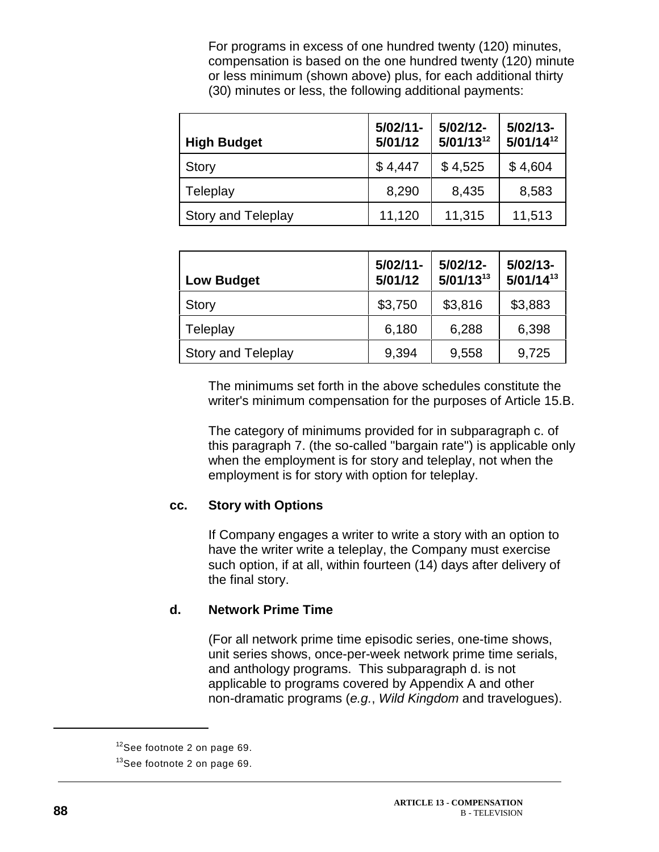For programs in excess of one hundred twenty (120) minutes, compensation is based on the one hundred twenty (120) minute or less minimum (shown above) plus, for each additional thirty (30) minutes or less, the following additional payments:

| <b>High Budget</b>        | $5/02/11-$<br>5/01/12 | $5/02/12-$<br>$5/01/13^{12}$ | $5/02/13-$<br>$5/01/14^{12}$ |
|---------------------------|-----------------------|------------------------------|------------------------------|
| <b>Story</b>              | \$4,447               | \$4,525                      | \$4,604                      |
| Teleplay                  | 8,290                 | 8,435                        | 8,583                        |
| <b>Story and Teleplay</b> | 11,120                | 11,315                       | 11,513                       |

| <b>Low Budget</b>         | $5/02/11$ -<br>5/01/12 | $5/02/12-$<br>$5/01/13^{13}$ | $5/02/13-$<br>$5/01/14^{13}$ |
|---------------------------|------------------------|------------------------------|------------------------------|
| <b>Story</b>              | \$3,750                | \$3,816                      | \$3,883                      |
| Teleplay                  | 6,180                  | 6,288                        | 6,398                        |
| <b>Story and Teleplay</b> | 9,394                  | 9,558                        | 9,725                        |

The minimums set forth in the above schedules constitute the writer's minimum compensation for the purposes of Article 15.B.

The category of minimums provided for in subparagraph c. of this paragraph 7. (the so-called "bargain rate") is applicable only when the employment is for story and teleplay, not when the employment is for story with option for teleplay.

### **cc. Story with Options**

If Company engages a writer to write a story with an option to have the writer write a teleplay, the Company must exercise such option, if at all, within fourteen (14) days after delivery of the final story.

### **d. Network Prime Time**

(For all network prime time episodic series, one-time shows, unit series shows, once-per-week network prime time serials, and anthology programs. This subparagraph d. is not applicable to programs covered by Appendix A and other non-dramatic programs (*e.g.*, *Wild Kingdom* and travelogues).

 $12$ See footnote 2 on page 69.

<sup>&</sup>lt;sup>13</sup>See footnote 2 on page 69.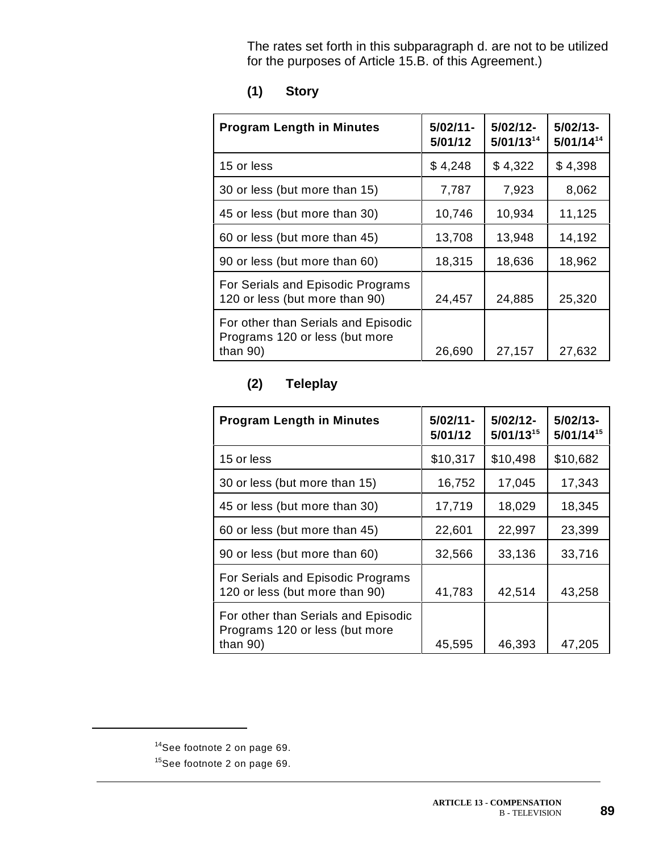The rates set forth in this subparagraph d. are not to be utilized for the purposes of Article 15.B. of this Agreement.)

# **(1) Story**

| <b>Program Length in Minutes</b>                                                     | $5/02/11-$<br>5/01/12 | $5/02/12-$<br>$5/01/13^{14}$ | $5/02/13-$<br>$5/01/14^{14}$ |
|--------------------------------------------------------------------------------------|-----------------------|------------------------------|------------------------------|
| 15 or less                                                                           | \$4,248               | \$4,322                      | \$4,398                      |
| 30 or less (but more than 15)                                                        | 7,787                 | 7,923                        | 8,062                        |
| 45 or less (but more than 30)                                                        | 10,746                | 10,934                       | 11,125                       |
| 60 or less (but more than 45)                                                        | 13,708                | 13,948                       | 14,192                       |
| 90 or less (but more than 60)                                                        | 18,315                | 18,636                       | 18,962                       |
| For Serials and Episodic Programs<br>120 or less (but more than 90)                  | 24,457                | 24,885                       | 25,320                       |
| For other than Serials and Episodic<br>Programs 120 or less (but more<br>than $90$ ) | 26,690                | 27,157                       | 27,632                       |

# **(2) Teleplay**

| <b>Program Length in Minutes</b>                                                    | $5/02/11 -$<br>5/01/12 | $5/02/12$ -<br>$5/01/13^{15}$ | $5/02/13-$<br>$5/01/14^{15}$ |
|-------------------------------------------------------------------------------------|------------------------|-------------------------------|------------------------------|
| 15 or less                                                                          | \$10,317               | \$10,498                      | \$10,682                     |
| 30 or less (but more than 15)                                                       | 16,752                 | 17,045                        | 17,343                       |
| 45 or less (but more than 30)                                                       | 17,719                 | 18,029                        | 18,345                       |
| 60 or less (but more than 45)                                                       | 22,601                 | 22,997                        | 23,399                       |
| 90 or less (but more than 60)                                                       | 32,566                 | 33,136                        | 33,716                       |
| For Serials and Episodic Programs<br>120 or less (but more than 90)                 | 41,783                 | 42,514                        | 43,258                       |
| For other than Serials and Episodic<br>Programs 120 or less (but more<br>than $90)$ | 45,595                 | 46,393                        | 47,205                       |

 $14$ See footnote 2 on page 69.

<sup>&</sup>lt;sup>15</sup>See footnote 2 on page 69.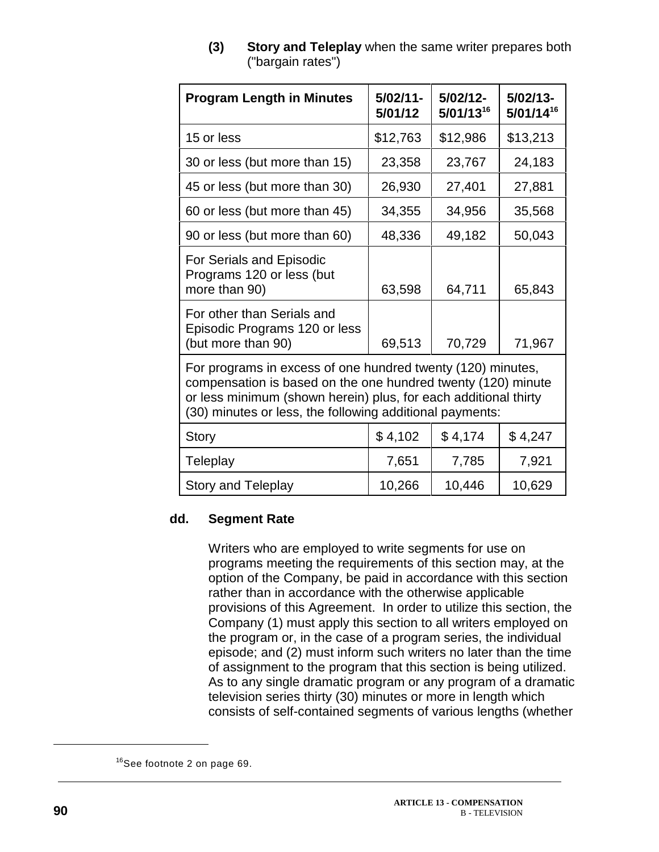**(3) Story and Teleplay** when the same writer prepares both ("bargain rates")

| <b>Program Length in Minutes</b>                                                                                                                                                                                                                           | $5/02/11-$<br>5/01/12 | $5/02/12-$<br>$5/01/13^{16}$ | $5/02/13-$<br>$5/01/14^{16}$ |
|------------------------------------------------------------------------------------------------------------------------------------------------------------------------------------------------------------------------------------------------------------|-----------------------|------------------------------|------------------------------|
| 15 or less                                                                                                                                                                                                                                                 | \$12,763              | \$12,986                     | \$13,213                     |
| 30 or less (but more than 15)                                                                                                                                                                                                                              | 23,358                | 23,767                       | 24,183                       |
| 45 or less (but more than 30)                                                                                                                                                                                                                              | 26,930                | 27,401                       | 27,881                       |
| 60 or less (but more than 45)                                                                                                                                                                                                                              | 34,355                | 34,956                       | 35,568                       |
| 90 or less (but more than 60)                                                                                                                                                                                                                              | 48,336                | 49,182                       | 50,043                       |
| For Serials and Episodic<br>Programs 120 or less (but<br>more than 90)                                                                                                                                                                                     | 63,598                | 64,711                       | 65,843                       |
| For other than Serials and<br>Episodic Programs 120 or less<br>(but more than 90)                                                                                                                                                                          | 69,513                | 70,729                       | 71,967                       |
| For programs in excess of one hundred twenty (120) minutes,<br>compensation is based on the one hundred twenty (120) minute<br>or less minimum (shown herein) plus, for each additional thirty<br>(30) minutes or less, the following additional payments: |                       |                              |                              |
| <b>Story</b>                                                                                                                                                                                                                                               | \$4,102               | \$4,174                      | \$4,247                      |
| Teleplay                                                                                                                                                                                                                                                   | 7,651                 | 7,785                        | 7,921                        |
| <b>Story and Teleplay</b>                                                                                                                                                                                                                                  | 10,266                | 10,446                       | 10,629                       |

### **dd. Segment Rate**

Writers who are employed to write segments for use on programs meeting the requirements of this section may, at the option of the Company, be paid in accordance with this section rather than in accordance with the otherwise applicable provisions of this Agreement. In order to utilize this section, the Company (1) must apply this section to all writers employed on the program or, in the case of a program series, the individual episode; and (2) must inform such writers no later than the time of assignment to the program that this section is being utilized. As to any single dramatic program or any program of a dramatic television series thirty (30) minutes or more in length which consists of self-contained segments of various lengths (whether

<sup>&</sup>lt;sup>16</sup>See footnote 2 on page 69.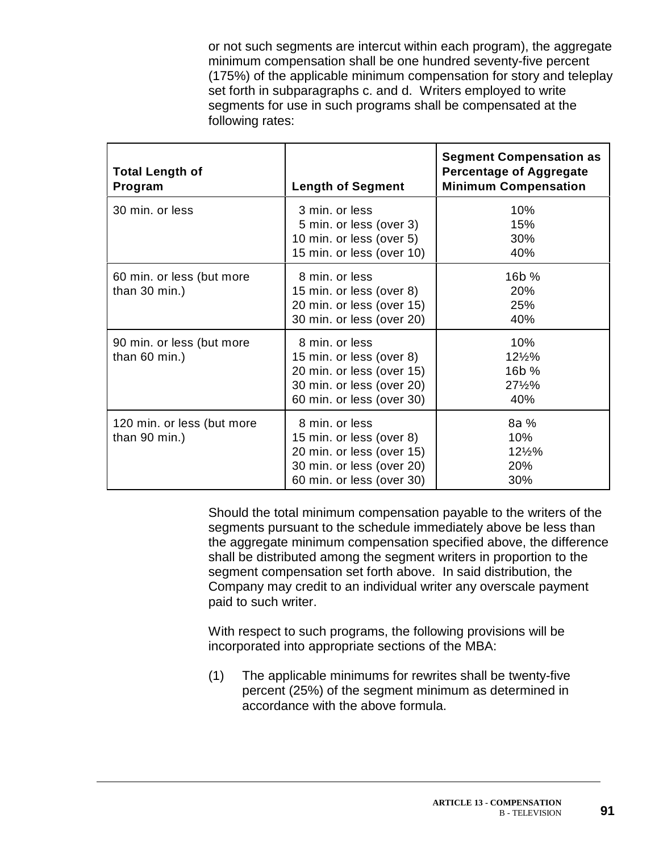or not such segments are intercut within each program), the aggregate minimum compensation shall be one hundred seventy-five percent (175%) of the applicable minimum compensation for story and teleplay set forth in subparagraphs c. and d. Writers employed to write segments for use in such programs shall be compensated at the following rates:

| <b>Total Length of</b><br>Program             | <b>Length of Segment</b>                                                                                                          | <b>Segment Compensation as</b><br><b>Percentage of Aggregate</b><br><b>Minimum Compensation</b> |
|-----------------------------------------------|-----------------------------------------------------------------------------------------------------------------------------------|-------------------------------------------------------------------------------------------------|
| 30 min. or less                               | 3 min. or less<br>5 min. or less (over 3)<br>10 min. or less (over 5)<br>15 min. or less (over 10)                                | 10%<br>15%<br>30%<br>40%                                                                        |
| 60 min. or less (but more<br>than $30$ min.)  | 8 min. or less<br>15 min. or less (over 8)<br>20 min. or less (over 15)<br>30 min. or less (over 20)                              | 16b%<br>20%<br>25%<br>40%                                                                       |
| 90 min. or less (but more<br>than $60$ min.)  | 8 min. or less<br>15 min. or less (over 8)<br>20 min. or less (over 15)<br>30 min. or less (over 20)<br>60 min. or less (over 30) | 10%<br>121/2%<br>16b%<br>$27\frac{1}{2}\%$<br>40%                                               |
| 120 min. or less (but more<br>than $90$ min.) | 8 min. or less<br>15 min. or less (over 8)<br>20 min. or less (over 15)<br>30 min. or less (over 20)<br>60 min. or less (over 30) | 8a%<br>10%<br>$12\frac{1}{2}\%$<br>20%<br>30%                                                   |

Should the total minimum compensation payable to the writers of the segments pursuant to the schedule immediately above be less than the aggregate minimum compensation specified above, the difference shall be distributed among the segment writers in proportion to the segment compensation set forth above. In said distribution, the Company may credit to an individual writer any overscale payment paid to such writer.

With respect to such programs, the following provisions will be incorporated into appropriate sections of the MBA:

(1) The applicable minimums for rewrites shall be twenty-five percent (25%) of the segment minimum as determined in accordance with the above formula.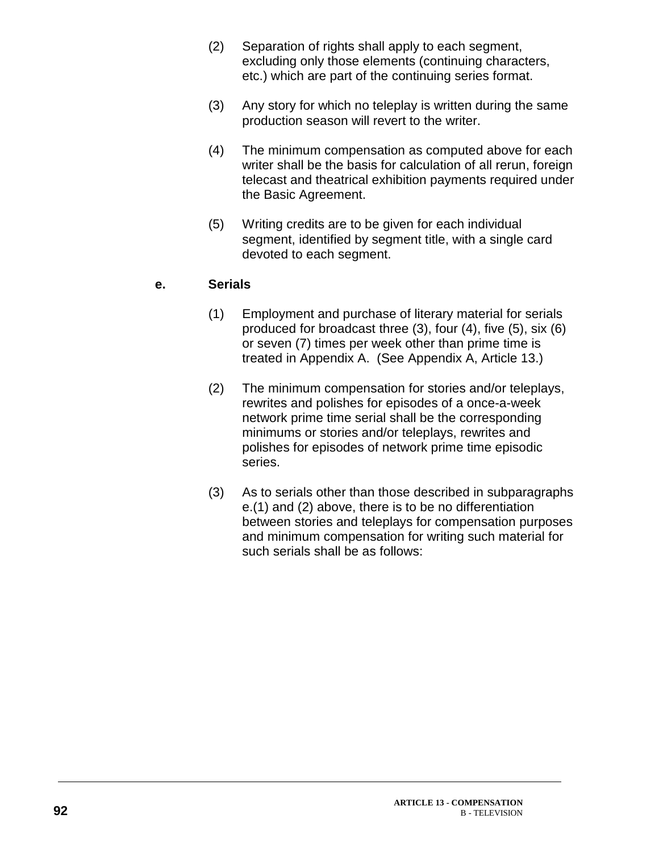- (2) Separation of rights shall apply to each segment, excluding only those elements (continuing characters, etc.) which are part of the continuing series format.
- (3) Any story for which no teleplay is written during the same production season will revert to the writer.
- (4) The minimum compensation as computed above for each writer shall be the basis for calculation of all rerun, foreign telecast and theatrical exhibition payments required under the Basic Agreement.
- (5) Writing credits are to be given for each individual segment, identified by segment title, with a single card devoted to each segment.

### **e. Serials**

- (1) Employment and purchase of literary material for serials produced for broadcast three (3), four (4), five (5), six (6) or seven (7) times per week other than prime time is treated in Appendix A. (See Appendix A, Article 13.)
- (2) The minimum compensation for stories and/or teleplays, rewrites and polishes for episodes of a once-a-week network prime time serial shall be the corresponding minimums or stories and/or teleplays, rewrites and polishes for episodes of network prime time episodic series.
- (3) As to serials other than those described in subparagraphs e.(1) and (2) above, there is to be no differentiation between stories and teleplays for compensation purposes and minimum compensation for writing such material for such serials shall be as follows: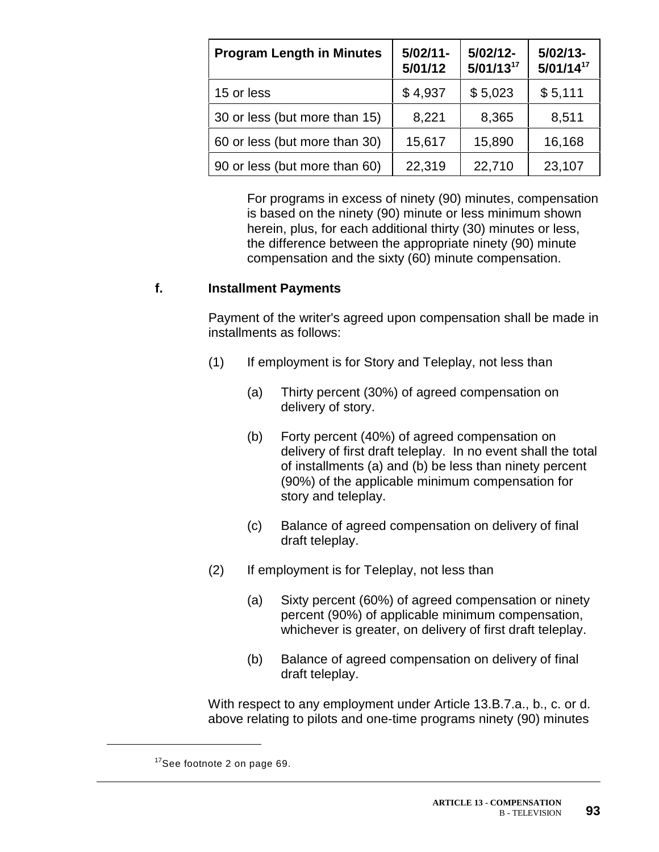| <b>Program Length in Minutes</b> | $5/02/11-$<br>5/01/12 | $5/02/12-$<br>$5/01/13^{17}$ | $5/02/13-$<br>$5/01/14^{17}$ |
|----------------------------------|-----------------------|------------------------------|------------------------------|
| 15 or less                       | \$4,937               | \$5,023                      | \$5,111                      |
| 30 or less (but more than 15)    | 8,221                 | 8,365                        | 8,511                        |
| 60 or less (but more than 30)    | 15,617                | 15,890                       | 16,168                       |
| 90 or less (but more than 60)    | 22,319                | 22,710                       | 23,107                       |

For programs in excess of ninety (90) minutes, compensation is based on the ninety (90) minute or less minimum shown herein, plus, for each additional thirty (30) minutes or less, the difference between the appropriate ninety (90) minute compensation and the sixty (60) minute compensation.

### **f. Installment Payments**

Payment of the writer's agreed upon compensation shall be made in installments as follows:

- (1) If employment is for Story and Teleplay, not less than
	- (a) Thirty percent (30%) of agreed compensation on delivery of story.
	- (b) Forty percent (40%) of agreed compensation on delivery of first draft teleplay. In no event shall the total of installments (a) and (b) be less than ninety percent (90%) of the applicable minimum compensation for story and teleplay.
	- (c) Balance of agreed compensation on delivery of final draft teleplay.
- (2) If employment is for Teleplay, not less than
	- (a) Sixty percent (60%) of agreed compensation or ninety percent (90%) of applicable minimum compensation, whichever is greater, on delivery of first draft teleplay.
	- (b) Balance of agreed compensation on delivery of final draft teleplay.

With respect to any employment under Article 13.B.7.a., b., c. or d. above relating to pilots and one-time programs ninety (90) minutes

<sup>&</sup>lt;sup>17</sup>See footnote 2 on page 69.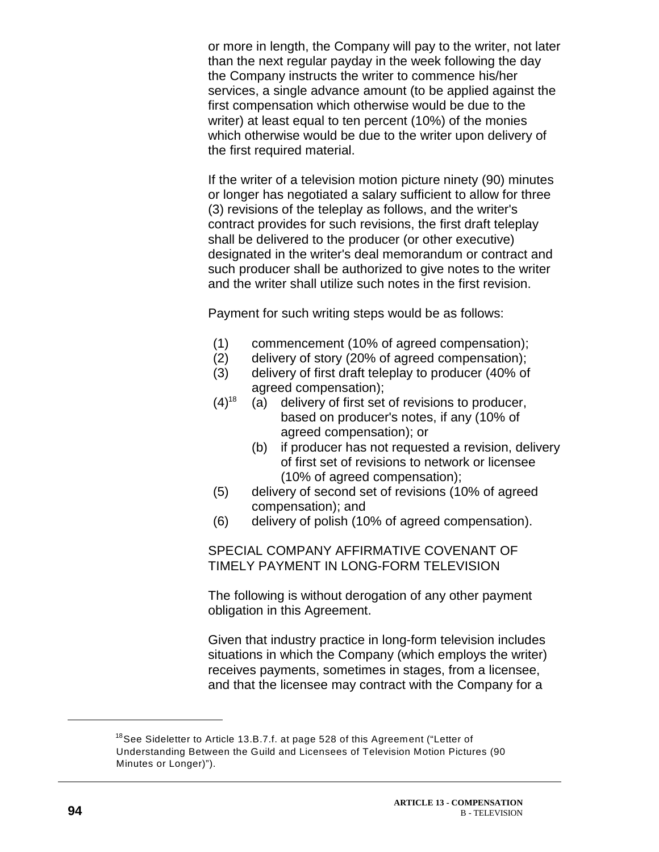or more in length, the Company will pay to the writer, not later than the next regular payday in the week following the day the Company instructs the writer to commence his/her services, a single advance amount (to be applied against the first compensation which otherwise would be due to the writer) at least equal to ten percent (10%) of the monies which otherwise would be due to the writer upon delivery of the first required material.

If the writer of a television motion picture ninety (90) minutes or longer has negotiated a salary sufficient to allow for three (3) revisions of the teleplay as follows, and the writer's contract provides for such revisions, the first draft teleplay shall be delivered to the producer (or other executive) designated in the writer's deal memorandum or contract and such producer shall be authorized to give notes to the writer and the writer shall utilize such notes in the first revision.

Payment for such writing steps would be as follows:

- (1) commencement (10% of agreed compensation);
- (2) delivery of story (20% of agreed compensation);
- (3) delivery of first draft teleplay to producer (40% of agreed compensation);
- $(4)^{18}$  (a) delivery of first set of revisions to producer, based on producer's notes, if any (10% of agreed compensation); or
	- (b) if producer has not requested a revision, delivery of first set of revisions to network or licensee (10% of agreed compensation);
- (5) delivery of second set of revisions (10% of agreed compensation); and
- (6) delivery of polish (10% of agreed compensation).

### SPECIAL COMPANY AFFIRMATIVE COVENANT OF TIMELY PAYMENT IN LONG-FORM TELEVISION

The following is without derogation of any other payment obligation in this Agreement.

Given that industry practice in long-form television includes situations in which the Company (which employs the writer) receives payments, sometimes in stages, from a licensee, and that the licensee may contract with the Company for a

 $^{18}$ See Sideletter to Article 13.B.7.f. at page 528 of this Agreement ("Letter of Understanding Between the Guild and Licensees of Television Motion Pictures (90 Minutes or Longer)").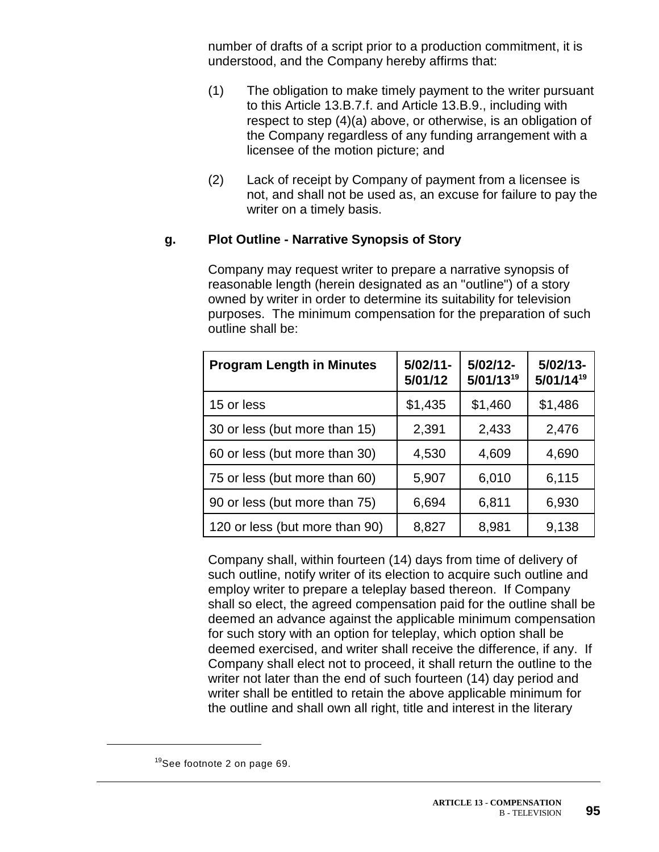number of drafts of a script prior to a production commitment, it is understood, and the Company hereby affirms that:

- (1) The obligation to make timely payment to the writer pursuant to this Article 13.B.7.f. and Article 13.B.9., including with respect to step (4)(a) above, or otherwise, is an obligation of the Company regardless of any funding arrangement with a licensee of the motion picture; and
- (2) Lack of receipt by Company of payment from a licensee is not, and shall not be used as, an excuse for failure to pay the writer on a timely basis.

### **g. Plot Outline - Narrative Synopsis of Story**

Company may request writer to prepare a narrative synopsis of reasonable length (herein designated as an "outline") of a story owned by writer in order to determine its suitability for television purposes. The minimum compensation for the preparation of such outline shall be:

| <b>Program Length in Minutes</b> | $5/02/11-$<br>5/01/12 | $5/02/12-$<br>$5/01/13^{19}$ | $5/02/13-$<br>$5/01/14^{19}$ |
|----------------------------------|-----------------------|------------------------------|------------------------------|
| 15 or less                       | \$1,435               | \$1,460                      | \$1,486                      |
| 30 or less (but more than 15)    | 2,391                 | 2,433                        | 2,476                        |
| 60 or less (but more than 30)    | 4,530                 | 4,609                        | 4,690                        |
| 75 or less (but more than 60)    | 5,907                 | 6,010                        | 6,115                        |
| 90 or less (but more than 75)    | 6,694                 | 6,811                        | 6,930                        |
| 120 or less (but more than 90)   | 8,827                 | 8,981                        | 9,138                        |

Company shall, within fourteen (14) days from time of delivery of such outline, notify writer of its election to acquire such outline and employ writer to prepare a teleplay based thereon. If Company shall so elect, the agreed compensation paid for the outline shall be deemed an advance against the applicable minimum compensation for such story with an option for teleplay, which option shall be deemed exercised, and writer shall receive the difference, if any. If Company shall elect not to proceed, it shall return the outline to the writer not later than the end of such fourteen (14) day period and writer shall be entitled to retain the above applicable minimum for the outline and shall own all right, title and interest in the literary

<sup>&</sup>lt;sup>19</sup>See footnote 2 on page 69.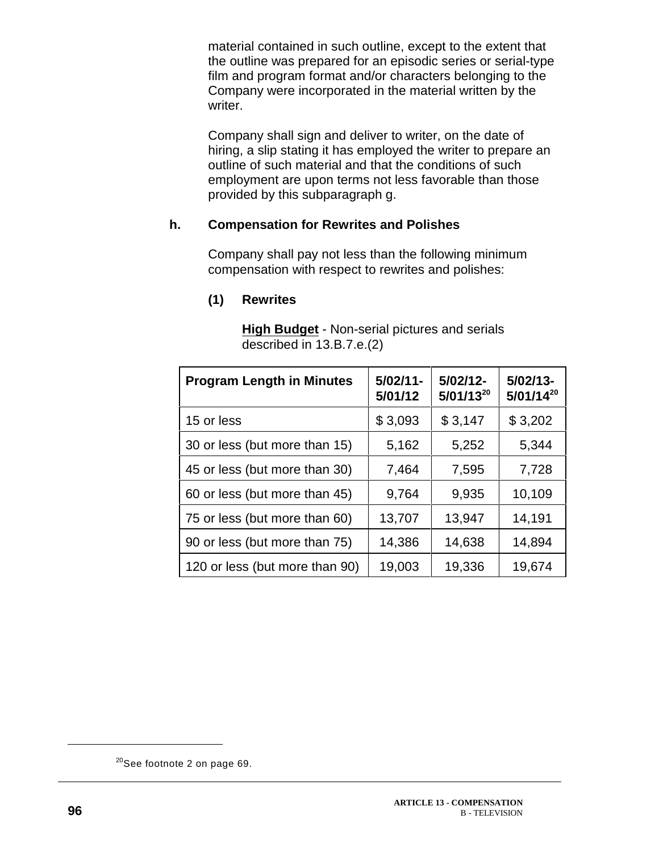material contained in such outline, except to the extent that the outline was prepared for an episodic series or serial-type film and program format and/or characters belonging to the Company were incorporated in the material written by the writer.

Company shall sign and deliver to writer, on the date of hiring, a slip stating it has employed the writer to prepare an outline of such material and that the conditions of such employment are upon terms not less favorable than those provided by this subparagraph g.

### **h. Compensation for Rewrites and Polishes**

Company shall pay not less than the following minimum compensation with respect to rewrites and polishes:

### **(1) Rewrites**

**High Budget** - Non-serial pictures and serials described in 13.B.7.e.(2)

| <b>Program Length in Minutes</b> | $5/02/11-$<br>5/01/12 | $5/02/12-$<br>$5/01/13^{20}$ | $5/02/13-$<br>$5/01/14^{20}$ |
|----------------------------------|-----------------------|------------------------------|------------------------------|
| 15 or less                       | \$3,093               | \$3,147                      | \$3,202                      |
| 30 or less (but more than 15)    | 5,162                 | 5,252                        | 5,344                        |
| 45 or less (but more than 30)    | 7,464                 | 7,595                        | 7,728                        |
| 60 or less (but more than 45)    | 9,764                 | 9,935                        | 10,109                       |
| 75 or less (but more than 60)    | 13,707                | 13,947                       | 14,191                       |
| 90 or less (but more than 75)    | 14,386                | 14,638                       | 14,894                       |
| 120 or less (but more than 90)   | 19,003                | 19,336                       | 19,674                       |

 $^{20}$ See footnote 2 on page 69.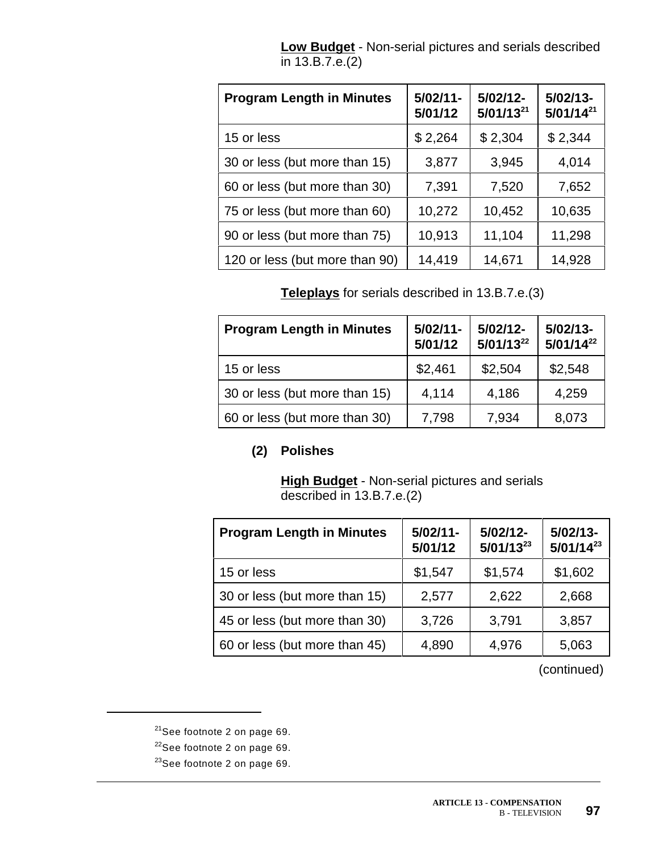| <b>Program Length in Minutes</b> | $5/02/11-$<br>5/01/12 | $5/02/12-$<br>$5/01/13^{21}$ | $5/02/13-$<br>$5/01/14^{21}$ |
|----------------------------------|-----------------------|------------------------------|------------------------------|
| 15 or less                       | \$2,264               | \$2,304                      | \$2,344                      |
| 30 or less (but more than 15)    | 3,877                 | 3,945                        | 4,014                        |
| 60 or less (but more than 30)    | 7,391                 | 7,520                        | 7,652                        |
| 75 or less (but more than 60)    | 10,272                | 10,452                       | 10,635                       |
| 90 or less (but more than 75)    | 10,913                | 11,104                       | 11,298                       |
| 120 or less (but more than 90)   | 14,419                | 14,671                       | 14,928                       |

**Low Budget** - Non-serial pictures and serials described in 13.B.7.e.(2)

**Teleplays** for serials described in 13.B.7.e.(3)

| <b>Program Length in Minutes</b> | $5/02/11$ -<br>5/01/12 | $5/02/12-$<br>$5/01/13^{22}$ | $5/02/13-$<br>$5/01/14^{22}$ |
|----------------------------------|------------------------|------------------------------|------------------------------|
| 15 or less                       | \$2,461                | \$2,504                      | \$2,548                      |
| 30 or less (but more than 15)    | 4,114                  | 4,186                        | 4,259                        |
| 60 or less (but more than 30)    | 7,798                  | 7,934                        | 8,073                        |

# **(2) Polishes**

**High Budget** - Non-serial pictures and serials described in 13.B.7.e.(2)

| <b>Program Length in Minutes</b> | $5/02/11-$<br>5/01/12 | $5/02/12-$<br>$5/01/13^{23}$ | $5/02/13-$<br>$5/01/14^{23}$ |
|----------------------------------|-----------------------|------------------------------|------------------------------|
| 15 or less                       | \$1,547               | \$1,574                      | \$1,602                      |
| 30 or less (but more than 15)    | 2,577                 | 2,622                        | 2,668                        |
| 45 or less (but more than 30)    | 3,726                 | 3,791                        | 3,857                        |
| 60 or less (but more than 45)    | 4,890                 | 4,976                        | 5,063                        |

(continued)

 $^{21}$ See footnote 2 on page 69.

 $^{22}$ See footnote 2 on page 69.

 $^{23}$ See footnote 2 on page 69.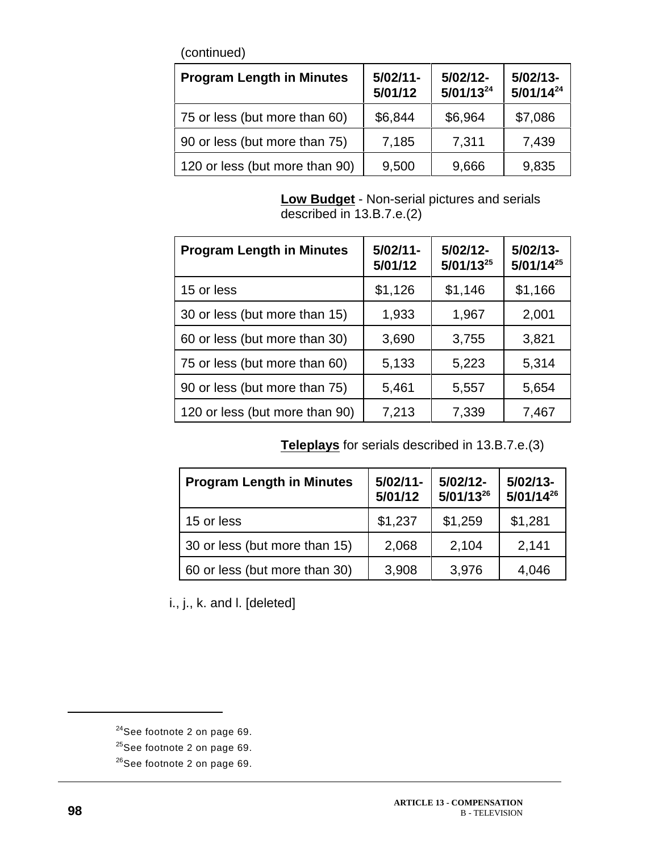(continued)

| <b>Program Length in Minutes</b> | $5/02/11-$<br>5/01/12 | $5/02/12-$<br>$5/01/13^{24}$ | $5/02/13-$<br>$5/01/14^{24}$ |
|----------------------------------|-----------------------|------------------------------|------------------------------|
| 75 or less (but more than 60)    | \$6,844               | \$6,964                      | \$7,086                      |
| 90 or less (but more than 75)    | 7,185                 | 7,311                        | 7,439                        |
| 120 or less (but more than 90)   | 9,500                 | 9,666                        | 9,835                        |

**Low Budget** - Non-serial pictures and serials described in 13.B.7.e.(2)

| <b>Program Length in Minutes</b> | $5/02/11-$<br>5/01/12 | $5/02/12-$<br>$5/01/13^{25}$ | $5/02/13-$<br>$5/01/14^{25}$ |
|----------------------------------|-----------------------|------------------------------|------------------------------|
| 15 or less                       | \$1,126               | \$1,146                      | \$1,166                      |
| 30 or less (but more than 15)    | 1,933                 | 1,967                        | 2,001                        |
| 60 or less (but more than 30)    | 3,690                 | 3,755                        | 3,821                        |
| 75 or less (but more than 60)    | 5,133                 | 5,223                        | 5,314                        |
| 90 or less (but more than 75)    | 5,461                 | 5,557                        | 5,654                        |
| 120 or less (but more than 90)   | 7,213                 | 7,339                        | 7,467                        |

**Teleplays** for serials described in 13.B.7.e.(3)

| <b>Program Length in Minutes</b> | $5/02/11-$<br>5/01/12 | $5/02/12-$<br>$5/01/13^{26}$ | $5/02/13-$<br>$5/01/14^{26}$ |
|----------------------------------|-----------------------|------------------------------|------------------------------|
| 15 or less                       | \$1,237               | \$1,259                      | \$1,281                      |
| 30 or less (but more than 15)    | 2,068                 | 2,104                        | 2,141                        |
| 60 or less (but more than 30)    | 3,908                 | 3,976                        | 4,046                        |

i., j., k. and l. [deleted]

 $^{24}$ See footnote 2 on page 69.

 $^{25}$ See footnote 2 on page 69.

 $^{26}$ See footnote 2 on page 69.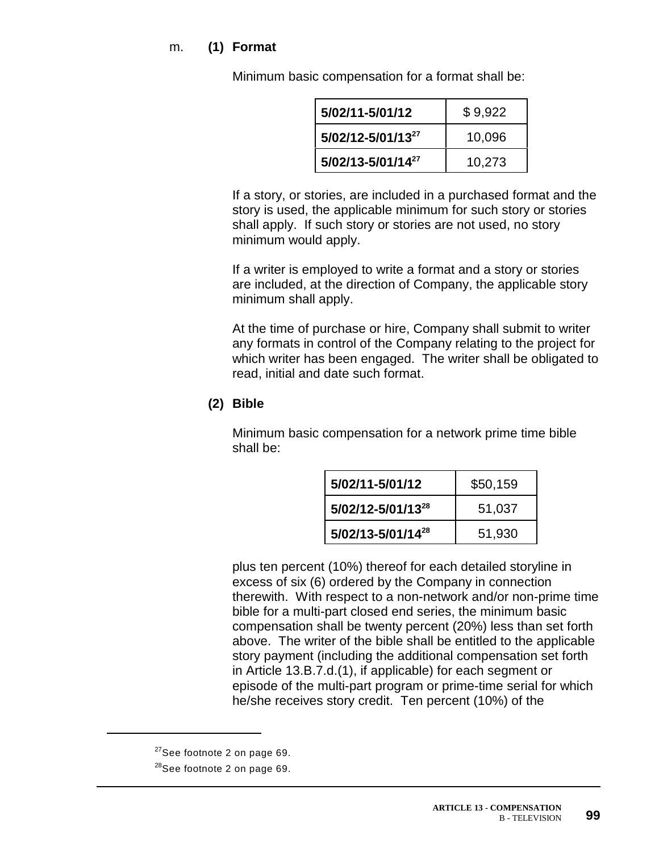#### m. **(1) Format**

Minimum basic compensation for a format shall be:

| 5/02/11-5/01/12          | \$9,922 |
|--------------------------|---------|
| $5/02/12 - 5/01/13^{27}$ | 10,096  |
| $5/02/13 - 5/01/14^{27}$ | 10,273  |

If a story, or stories, are included in a purchased format and the story is used, the applicable minimum for such story or stories shall apply. If such story or stories are not used, no story minimum would apply.

If a writer is employed to write a format and a story or stories are included, at the direction of Company, the applicable story minimum shall apply.

At the time of purchase or hire, Company shall submit to writer any formats in control of the Company relating to the project for which writer has been engaged. The writer shall be obligated to read, initial and date such format.

#### **(2) Bible**

Minimum basic compensation for a network prime time bible shall be:

| 5/02/11-5/01/12               | \$50,159 |
|-------------------------------|----------|
| $5/02/12 - 5/01/13^{28}$      | 51,037   |
| 5/02/13-5/01/14 <sup>28</sup> | 51,930   |

plus ten percent (10%) thereof for each detailed storyline in excess of six (6) ordered by the Company in connection therewith. With respect to a non-network and/or non-prime time bible for a multi-part closed end series, the minimum basic compensation shall be twenty percent (20%) less than set forth above. The writer of the bible shall be entitled to the applicable story payment (including the additional compensation set forth in Article 13.B.7.d.(1), if applicable) for each segment or episode of the multi-part program or prime-time serial for which he/she receives story credit. Ten percent (10%) of the

 $^{27}$ See footnote 2 on page 69.

 $^{28}$ See footnote 2 on page 69.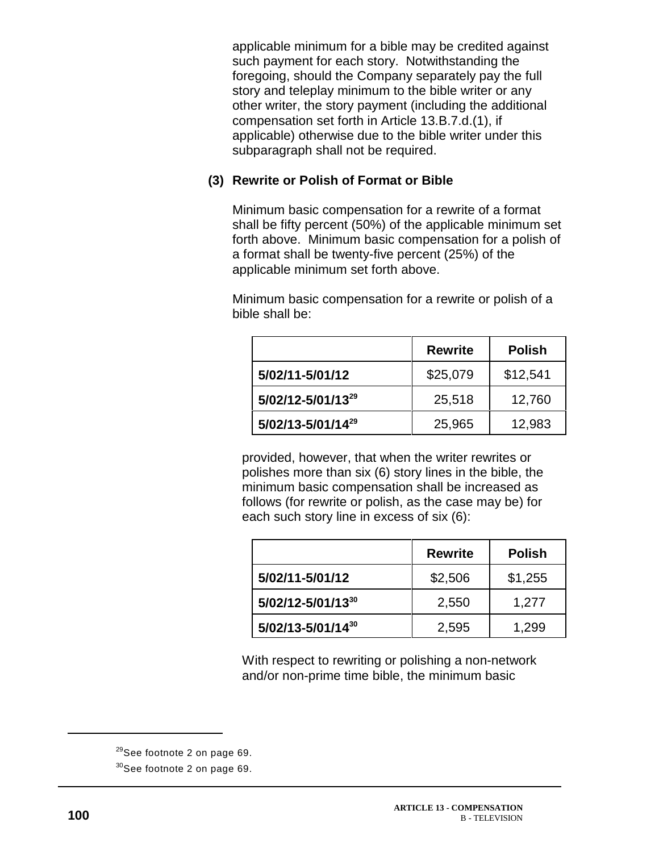applicable minimum for a bible may be credited against such payment for each story. Notwithstanding the foregoing, should the Company separately pay the full story and teleplay minimum to the bible writer or any other writer, the story payment (including the additional compensation set forth in Article 13.B.7.d.(1), if applicable) otherwise due to the bible writer under this subparagraph shall not be required.

#### **(3) Rewrite or Polish of Format or Bible**

Minimum basic compensation for a rewrite of a format shall be fifty percent (50%) of the applicable minimum set forth above. Minimum basic compensation for a polish of a format shall be twenty-five percent (25%) of the applicable minimum set forth above.

Minimum basic compensation for a rewrite or polish of a bible shall be:

|                               | <b>Rewrite</b> | <b>Polish</b> |
|-------------------------------|----------------|---------------|
| 5/02/11-5/01/12               | \$25,079       | \$12,541      |
| 5/02/12-5/01/13 <sup>29</sup> | 25,518         | 12,760        |
| 5/02/13-5/01/14 <sup>29</sup> | 25,965         | 12,983        |

provided, however, that when the writer rewrites or polishes more than six (6) story lines in the bible, the minimum basic compensation shall be increased as follows (for rewrite or polish, as the case may be) for each such story line in excess of six (6):

|                               | <b>Rewrite</b> | <b>Polish</b> |
|-------------------------------|----------------|---------------|
| 5/02/11-5/01/12               | \$2,506        | \$1,255       |
| 5/02/12-5/01/13 <sup>30</sup> | 2,550          | 1,277         |
| 5/02/13-5/01/14 <sup>30</sup> | 2,595          | 1.299         |

With respect to rewriting or polishing a non-network and/or non-prime time bible, the minimum basic

<sup>&</sup>lt;sup>29</sup>See footnote 2 on page 69.

 $^{30}$ See footnote 2 on page 69.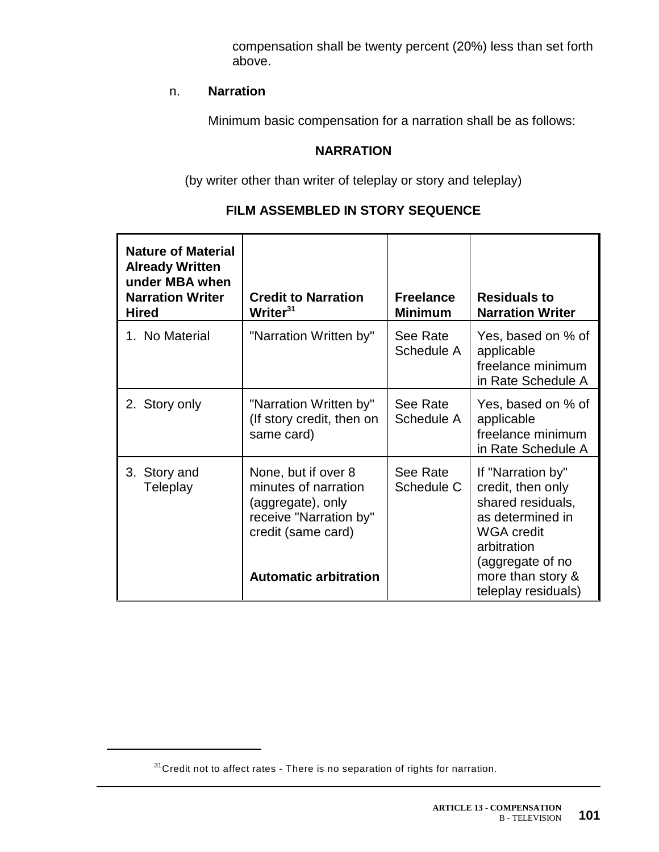compensation shall be twenty percent (20%) less than set forth above.

## n. **Narration**

Minimum basic compensation for a narration shall be as follows:

## **NARRATION**

(by writer other than writer of teleplay or story and teleplay)

## **FILM ASSEMBLED IN STORY SEQUENCE**

| <b>Nature of Material</b><br><b>Already Written</b><br>under MBA when<br><b>Narration Writer</b><br><b>Hired</b> | <b>Credit to Narration</b><br>Writer <sup>31</sup>                                                                                               | <b>Freelance</b><br><b>Minimum</b> | <b>Residuals to</b><br><b>Narration Writer</b>                                                                                                                                      |
|------------------------------------------------------------------------------------------------------------------|--------------------------------------------------------------------------------------------------------------------------------------------------|------------------------------------|-------------------------------------------------------------------------------------------------------------------------------------------------------------------------------------|
| 1. No Material                                                                                                   | "Narration Written by"                                                                                                                           | See Rate<br>Schedule A             | Yes, based on % of<br>applicable<br>freelance minimum<br>in Rate Schedule A                                                                                                         |
| 2. Story only                                                                                                    | "Narration Written by"<br>(If story credit, then on<br>same card)                                                                                | See Rate<br>Schedule A             | Yes, based on % of<br>applicable<br>freelance minimum<br>in Rate Schedule A                                                                                                         |
| 3.<br>Story and<br>Teleplay                                                                                      | None, but if over 8<br>minutes of narration<br>(aggregate), only<br>receive "Narration by"<br>credit (same card)<br><b>Automatic arbitration</b> | See Rate<br>Schedule C             | If "Narration by"<br>credit, then only<br>shared residuals,<br>as determined in<br><b>WGA</b> credit<br>arbitration<br>(aggregate of no<br>more than story &<br>teleplay residuals) |

 $31$ Credit not to affect rates - There is no separation of rights for narration.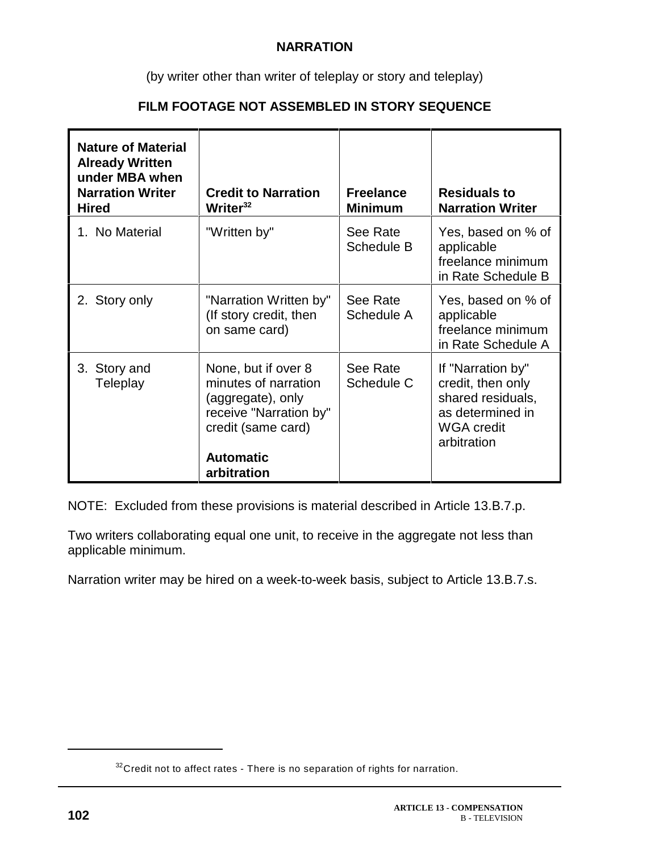### **NARRATION**

(by writer other than writer of teleplay or story and teleplay)

# **FILM FOOTAGE NOT ASSEMBLED IN STORY SEQUENCE**

| <b>Nature of Material</b><br><b>Already Written</b><br>under MBA when<br><b>Narration Writer</b><br><b>Hired</b> | <b>Credit to Narration</b><br>Writer $32$                                                                                                           | <b>Freelance</b><br><b>Minimum</b> | <b>Residuals to</b><br><b>Narration Writer</b>                                                                      |
|------------------------------------------------------------------------------------------------------------------|-----------------------------------------------------------------------------------------------------------------------------------------------------|------------------------------------|---------------------------------------------------------------------------------------------------------------------|
| 1. No Material                                                                                                   | "Written by"                                                                                                                                        | See Rate<br>Schedule B             | Yes, based on % of<br>applicable<br>freelance minimum<br>in Rate Schedule B                                         |
| 2. Story only                                                                                                    | "Narration Written by"<br>(If story credit, then<br>on same card)                                                                                   | See Rate<br>Schedule A             | Yes, based on % of<br>applicable<br>freelance minimum<br>in Rate Schedule A                                         |
| 3. Story and<br>Teleplay                                                                                         | None, but if over 8<br>minutes of narration<br>(aggregate), only<br>receive "Narration by"<br>credit (same card)<br><b>Automatic</b><br>arbitration | See Rate<br>Schedule C             | If "Narration by"<br>credit, then only<br>shared residuals,<br>as determined in<br><b>WGA credit</b><br>arbitration |

NOTE: Excluded from these provisions is material described in Article 13.B.7.p.

Two writers collaborating equal one unit, to receive in the aggregate not less than applicable minimum.

Narration writer may be hired on a week-to-week basis, subject to Article 13.B.7.s.

 $32$ Credit not to affect rates - There is no separation of rights for narration.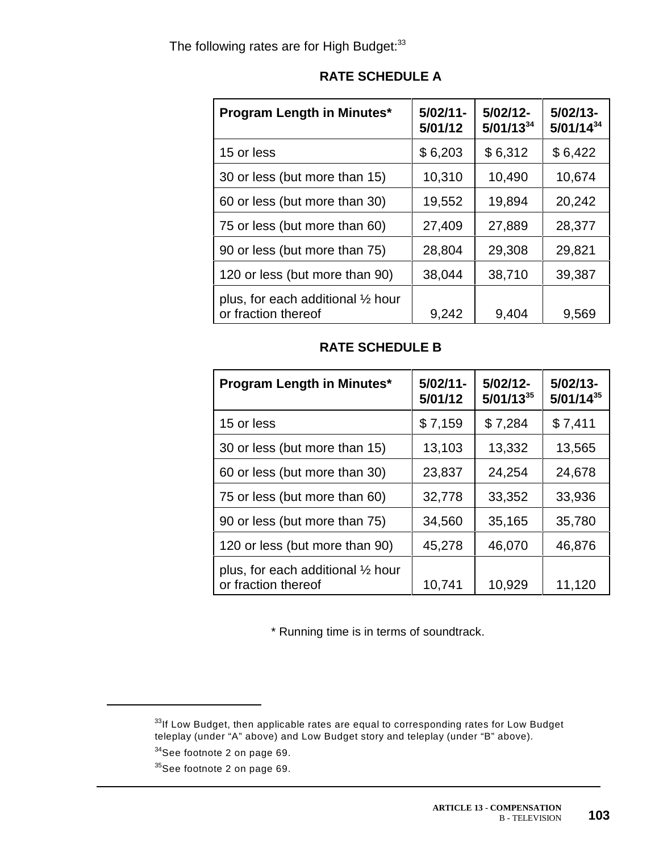The following rates are for High Budget: 33

| Program Length in Minutes*                                          | $5/02/11-$<br>5/01/12 | $5/02/12-$<br>$5/01/13^{34}$ | $5/02/13-$<br>$5/01/14^{34}$ |
|---------------------------------------------------------------------|-----------------------|------------------------------|------------------------------|
| 15 or less                                                          | \$6,203               | \$6,312                      | \$6,422                      |
| 30 or less (but more than 15)                                       | 10,310                | 10,490                       | 10,674                       |
| 60 or less (but more than 30)                                       | 19,552                | 19,894                       | 20,242                       |
| 75 or less (but more than 60)                                       | 27,409                | 27,889                       | 28,377                       |
| 90 or less (but more than 75)                                       | 28,804                | 29,308                       | 29,821                       |
| 120 or less (but more than 90)                                      | 38,044                | 38,710                       | 39,387                       |
| plus, for each additional $\frac{1}{2}$ hour<br>or fraction thereof | 9,242                 | 9,404                        | 9,569                        |

### **RATE SCHEDULE A**

## **RATE SCHEDULE B**

| Program Length in Minutes*                                          | $5/02/11-$<br>5/01/12 | $5/02/12-$<br>$5/01/13^{35}$ | $5/02/13-$<br>$5/01/14^{35}$ |
|---------------------------------------------------------------------|-----------------------|------------------------------|------------------------------|
| 15 or less                                                          | \$7,159               | \$7,284                      | \$7,411                      |
| 30 or less (but more than 15)                                       | 13,103                | 13,332                       | 13,565                       |
| 60 or less (but more than 30)                                       | 23,837                | 24,254                       | 24,678                       |
| 75 or less (but more than 60)                                       | 32,778                | 33,352                       | 33,936                       |
| 90 or less (but more than 75)                                       | 34,560                | 35,165                       | 35,780                       |
| 120 or less (but more than 90)                                      | 45,278                | 46,070                       | 46,876                       |
| plus, for each additional $\frac{1}{2}$ hour<br>or fraction thereof | 10,741                | 10,929                       | 11,120                       |

\* Running time is in terms of soundtrack.

 $^{33}$ If Low Budget, then applicable rates are equal to corresponding rates for Low Budget teleplay (under "A" above) and Low Budget story and teleplay (under "B" above).

 $34$ See footnote 2 on page 69.

 $^{35}$ See footnote 2 on page 69.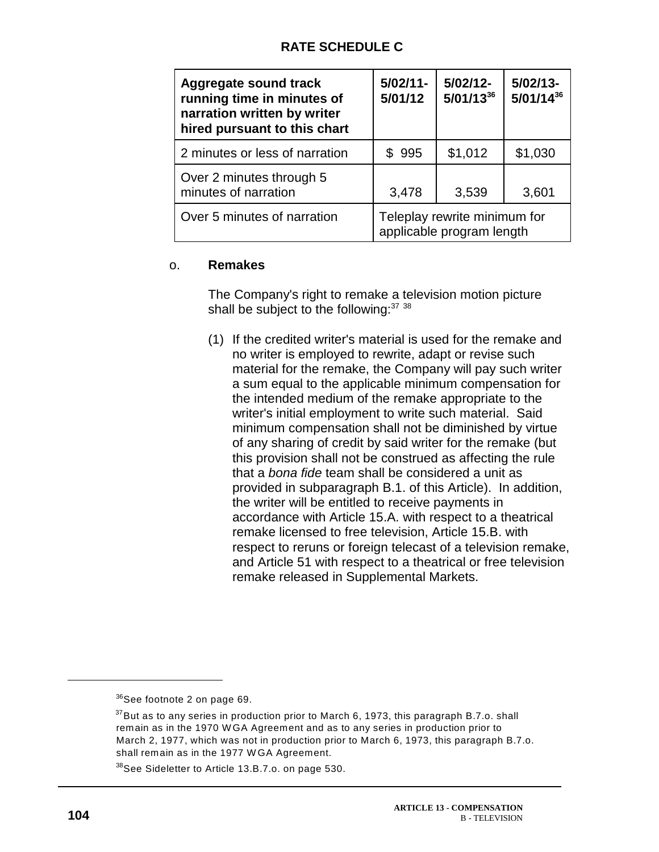## **RATE SCHEDULE C**

| <b>Aggregate sound track</b><br>running time in minutes of<br>narration written by writer<br>hired pursuant to this chart | $5/02/11-$<br>5/01/12                                     | $5/02/12$ -<br>$5/01/13^{36}$ | $5/02/13-$<br>$5/01/14^{36}$ |
|---------------------------------------------------------------------------------------------------------------------------|-----------------------------------------------------------|-------------------------------|------------------------------|
| 2 minutes or less of narration                                                                                            | \$995                                                     | \$1,012                       | \$1,030                      |
| Over 2 minutes through 5<br>minutes of narration                                                                          | 3,478                                                     | 3,539                         | 3,601                        |
| Over 5 minutes of narration                                                                                               | Teleplay rewrite minimum for<br>applicable program length |                               |                              |

#### o. **Remakes**

The Company's right to remake a television motion picture shall be subject to the following:  $37 \frac{38}{2}$ 

(1) If the credited writer's material is used for the remake and no writer is employed to rewrite, adapt or revise such material for the remake, the Company will pay such writer a sum equal to the applicable minimum compensation for the intended medium of the remake appropriate to the writer's initial employment to write such material. Said minimum compensation shall not be diminished by virtue of any sharing of credit by said writer for the remake (but this provision shall not be construed as affecting the rule that a *bona fide* team shall be considered a unit as provided in subparagraph B.1. of this Article). In addition, the writer will be entitled to receive payments in accordance with Article 15.A. with respect to a theatrical remake licensed to free television, Article 15.B. with respect to reruns or foreign telecast of a television remake, and Article 51 with respect to a theatrical or free television remake released in Supplemental Markets.

 $^{36}$ See footnote 2 on page 69.

 $\mathrm{^{37}B}$ ut as to any series in production prior to March 6, 1973, this paragraph B.7.o. shall remain as in the 1970 WGA Agreement and as to any series in production prior to March 2, 1977, which was not in production prior to March 6, 1973, this paragraph B.7.o. shall remain as in the 1977 W GA Agreement.

 $38$ See Sideletter to Article 13.B.7.o. on page 530.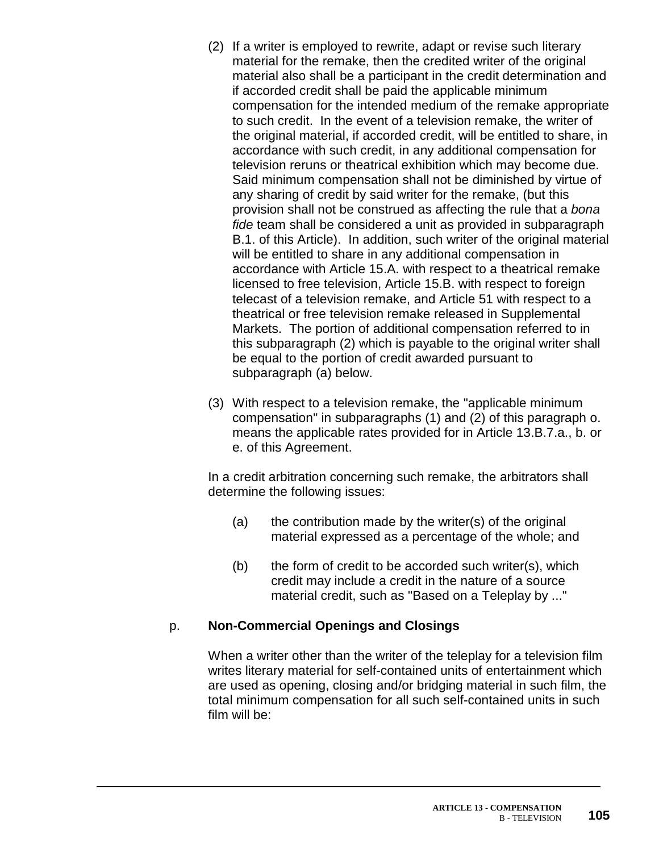- (2) If a writer is employed to rewrite, adapt or revise such literary material for the remake, then the credited writer of the original material also shall be a participant in the credit determination and if accorded credit shall be paid the applicable minimum compensation for the intended medium of the remake appropriate to such credit. In the event of a television remake, the writer of the original material, if accorded credit, will be entitled to share, in accordance with such credit, in any additional compensation for television reruns or theatrical exhibition which may become due. Said minimum compensation shall not be diminished by virtue of any sharing of credit by said writer for the remake, (but this provision shall not be construed as affecting the rule that a *bona fide* team shall be considered a unit as provided in subparagraph B.1. of this Article). In addition, such writer of the original material will be entitled to share in any additional compensation in accordance with Article 15.A. with respect to a theatrical remake licensed to free television, Article 15.B. with respect to foreign telecast of a television remake, and Article 51 with respect to a theatrical or free television remake released in Supplemental Markets. The portion of additional compensation referred to in this subparagraph (2) which is payable to the original writer shall be equal to the portion of credit awarded pursuant to subparagraph (a) below.
- (3) With respect to a television remake, the "applicable minimum compensation" in subparagraphs (1) and (2) of this paragraph o. means the applicable rates provided for in Article 13.B.7.a., b. or e. of this Agreement.

In a credit arbitration concerning such remake, the arbitrators shall determine the following issues:

- (a) the contribution made by the writer(s) of the original material expressed as a percentage of the whole; and
- (b) the form of credit to be accorded such writer(s), which credit may include a credit in the nature of a source material credit, such as "Based on a Teleplay by ..."

### p. **Non-Commercial Openings and Closings**

When a writer other than the writer of the teleplay for a television film writes literary material for self-contained units of entertainment which are used as opening, closing and/or bridging material in such film, the total minimum compensation for all such self-contained units in such film will be: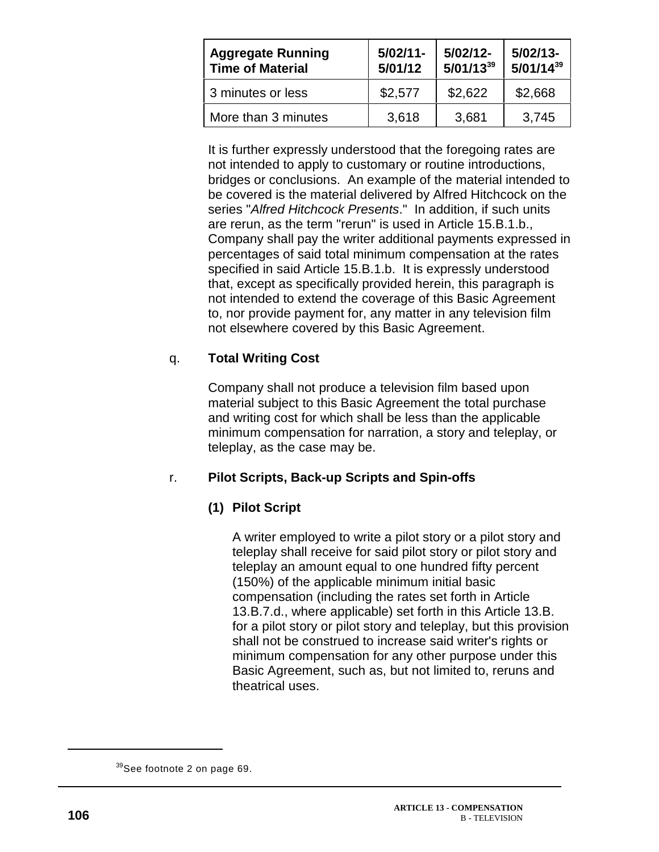| <b>Aggregate Running</b><br><b>Time of Material</b> | $5/02/11$ -<br>5/01/12 | $5/02/12$ -<br>$5/01/13^{39}$ | $5/02/13-$<br>$5/01/14^{39}$ |
|-----------------------------------------------------|------------------------|-------------------------------|------------------------------|
| 3 minutes or less                                   | \$2,577                | \$2,622                       | \$2,668                      |
| More than 3 minutes                                 | 3,618                  | 3,681                         | 3,745                        |

It is further expressly understood that the foregoing rates are not intended to apply to customary or routine introductions, bridges or conclusions. An example of the material intended to be covered is the material delivered by Alfred Hitchcock on the series "*Alfred Hitchcock Presents*." In addition, if such units are rerun, as the term "rerun" is used in Article 15.B.1.b., Company shall pay the writer additional payments expressed in percentages of said total minimum compensation at the rates specified in said Article 15.B.1.b. It is expressly understood that, except as specifically provided herein, this paragraph is not intended to extend the coverage of this Basic Agreement to, nor provide payment for, any matter in any television film not elsewhere covered by this Basic Agreement.

# q. **Total Writing Cost**

Company shall not produce a television film based upon material subject to this Basic Agreement the total purchase and writing cost for which shall be less than the applicable minimum compensation for narration, a story and teleplay, or teleplay, as the case may be.

### r. **Pilot Scripts, Back-up Scripts and Spin-offs**

### **(1) Pilot Script**

A writer employed to write a pilot story or a pilot story and teleplay shall receive for said pilot story or pilot story and teleplay an amount equal to one hundred fifty percent (150%) of the applicable minimum initial basic compensation (including the rates set forth in Article 13.B.7.d., where applicable) set forth in this Article 13.B. for a pilot story or pilot story and teleplay, but this provision shall not be construed to increase said writer's rights or minimum compensation for any other purpose under this Basic Agreement, such as, but not limited to, reruns and theatrical uses.

 $^{39}$ See footnote 2 on page 69.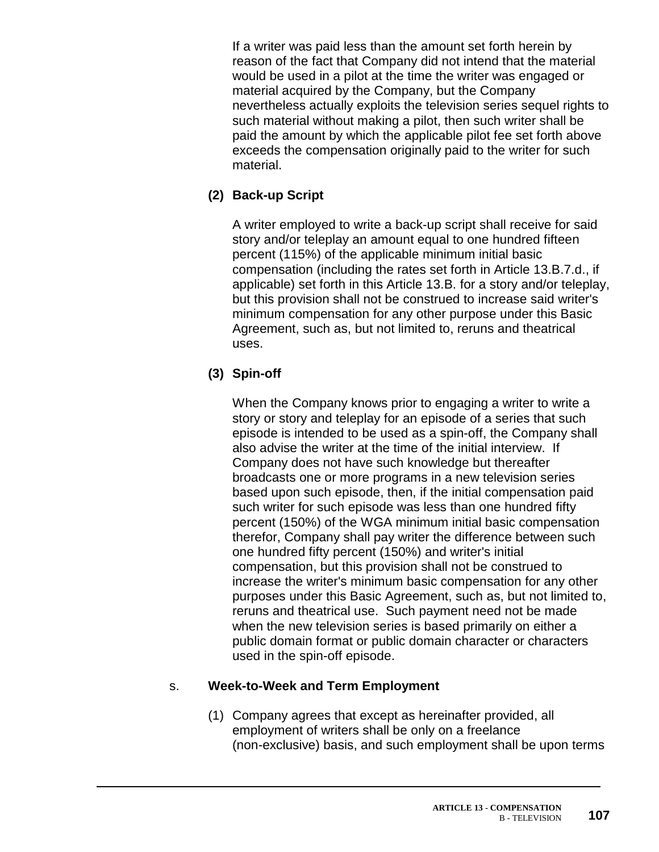If a writer was paid less than the amount set forth herein by reason of the fact that Company did not intend that the material would be used in a pilot at the time the writer was engaged or material acquired by the Company, but the Company nevertheless actually exploits the television series sequel rights to such material without making a pilot, then such writer shall be paid the amount by which the applicable pilot fee set forth above exceeds the compensation originally paid to the writer for such material.

## **(2) Back-up Script**

A writer employed to write a back-up script shall receive for said story and/or teleplay an amount equal to one hundred fifteen percent (115%) of the applicable minimum initial basic compensation (including the rates set forth in Article 13.B.7.d., if applicable) set forth in this Article 13.B. for a story and/or teleplay, but this provision shall not be construed to increase said writer's minimum compensation for any other purpose under this Basic Agreement, such as, but not limited to, reruns and theatrical uses.

## **(3) Spin-off**

When the Company knows prior to engaging a writer to write a story or story and teleplay for an episode of a series that such episode is intended to be used as a spin-off, the Company shall also advise the writer at the time of the initial interview. If Company does not have such knowledge but thereafter broadcasts one or more programs in a new television series based upon such episode, then, if the initial compensation paid such writer for such episode was less than one hundred fifty percent (150%) of the WGA minimum initial basic compensation therefor, Company shall pay writer the difference between such one hundred fifty percent (150%) and writer's initial compensation, but this provision shall not be construed to increase the writer's minimum basic compensation for any other purposes under this Basic Agreement, such as, but not limited to, reruns and theatrical use. Such payment need not be made when the new television series is based primarily on either a public domain format or public domain character or characters used in the spin-off episode.

### s. **Week-to-Week and Term Employment**

(1) Company agrees that except as hereinafter provided, all employment of writers shall be only on a freelance (non-exclusive) basis, and such employment shall be upon terms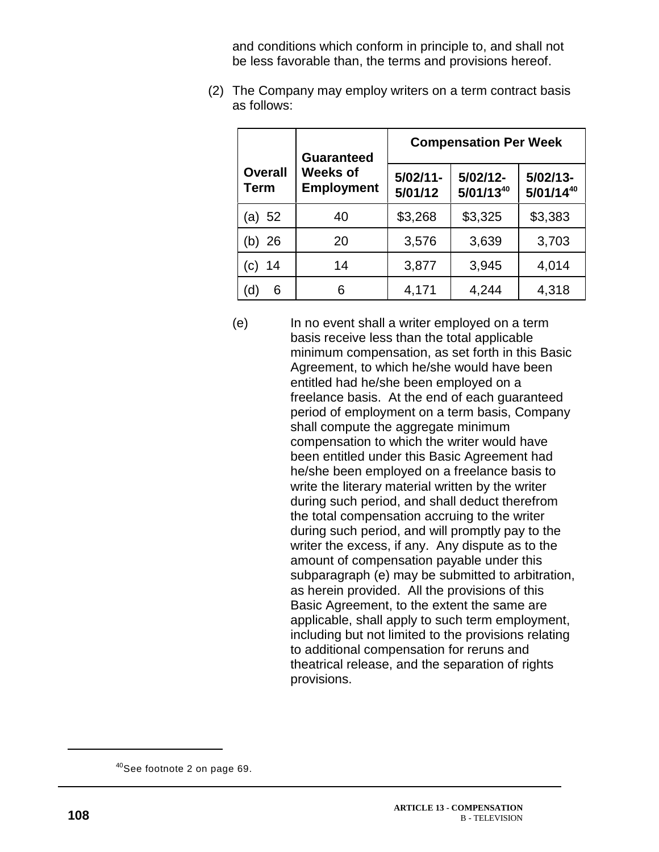and conditions which conform in principle to, and shall not be less favorable than, the terms and provisions hereof.

(2) The Company may employ writers on a term contract basis as follows:

|                                                                       | <b>Guaranteed</b>     |                              | <b>Compensation Per Week</b> |         |  |
|-----------------------------------------------------------------------|-----------------------|------------------------------|------------------------------|---------|--|
| <b>Weeks of</b><br><b>Overall</b><br><b>Employment</b><br><b>Term</b> | $5/02/11-$<br>5/01/12 | $5/02/12-$<br>$5/01/13^{40}$ | $5/02/13-$<br>$5/01/14^{40}$ |         |  |
| (a) 52                                                                | 40                    | \$3,268                      | \$3,325                      | \$3,383 |  |
| 26<br>(b)                                                             | 20                    | 3,576                        | 3,639                        | 3,703   |  |
| 14<br>(C)                                                             | 14                    | 3,877                        | 3,945                        | 4,014   |  |
| 6<br>(d)                                                              |                       | 4,171                        | 4,244                        | 4,318   |  |

(e) In no event shall a writer employed on a term basis receive less than the total applicable minimum compensation, as set forth in this Basic Agreement, to which he/she would have been entitled had he/she been employed on a freelance basis. At the end of each guaranteed period of employment on a term basis, Company shall compute the aggregate minimum compensation to which the writer would have been entitled under this Basic Agreement had he/she been employed on a freelance basis to write the literary material written by the writer during such period, and shall deduct therefrom the total compensation accruing to the writer during such period, and will promptly pay to the writer the excess, if any. Any dispute as to the amount of compensation payable under this subparagraph (e) may be submitted to arbitration, as herein provided. All the provisions of this Basic Agreement, to the extent the same are applicable, shall apply to such term employment, including but not limited to the provisions relating to additional compensation for reruns and theatrical release, and the separation of rights provisions.

 $^{40}$ See footnote 2 on page 69.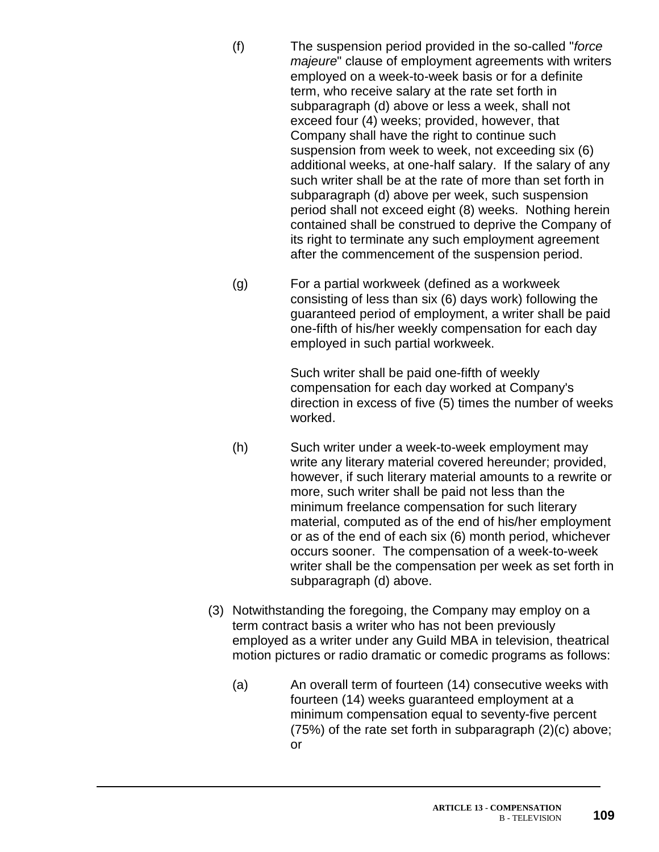- (f) The suspension period provided in the so-called "*force majeure*" clause of employment agreements with writers employed on a week-to-week basis or for a definite term, who receive salary at the rate set forth in subparagraph (d) above or less a week, shall not exceed four (4) weeks; provided, however, that Company shall have the right to continue such suspension from week to week, not exceeding six (6) additional weeks, at one-half salary. If the salary of any such writer shall be at the rate of more than set forth in subparagraph (d) above per week, such suspension period shall not exceed eight (8) weeks. Nothing herein contained shall be construed to deprive the Company of its right to terminate any such employment agreement after the commencement of the suspension period.
- (g) For a partial workweek (defined as a workweek consisting of less than six (6) days work) following the guaranteed period of employment, a writer shall be paid one-fifth of his/her weekly compensation for each day employed in such partial workweek.

Such writer shall be paid one-fifth of weekly compensation for each day worked at Company's direction in excess of five (5) times the number of weeks worked.

- (h) Such writer under a week-to-week employment may write any literary material covered hereunder; provided, however, if such literary material amounts to a rewrite or more, such writer shall be paid not less than the minimum freelance compensation for such literary material, computed as of the end of his/her employment or as of the end of each six (6) month period, whichever occurs sooner. The compensation of a week-to-week writer shall be the compensation per week as set forth in subparagraph (d) above.
- (3) Notwithstanding the foregoing, the Company may employ on a term contract basis a writer who has not been previously employed as a writer under any Guild MBA in television, theatrical motion pictures or radio dramatic or comedic programs as follows:
	- (a) An overall term of fourteen (14) consecutive weeks with fourteen (14) weeks guaranteed employment at a minimum compensation equal to seventy-five percent (75%) of the rate set forth in subparagraph (2)(c) above; or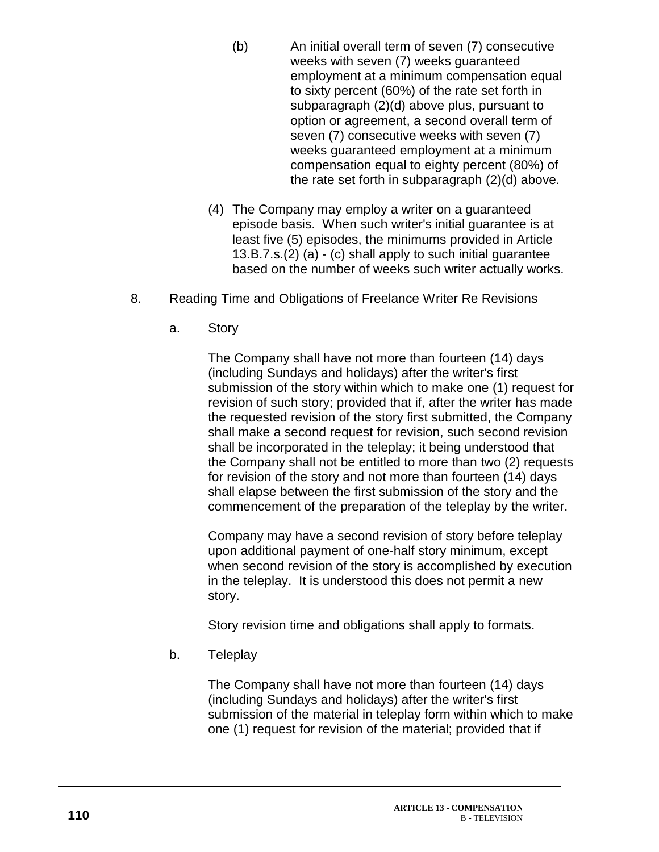- (b) An initial overall term of seven (7) consecutive weeks with seven (7) weeks guaranteed employment at a minimum compensation equal to sixty percent (60%) of the rate set forth in subparagraph (2)(d) above plus, pursuant to option or agreement, a second overall term of seven (7) consecutive weeks with seven (7) weeks guaranteed employment at a minimum compensation equal to eighty percent (80%) of the rate set forth in subparagraph (2)(d) above.
- (4) The Company may employ a writer on a guaranteed episode basis. When such writer's initial guarantee is at least five (5) episodes, the minimums provided in Article 13.B.7.s.(2) (a) - (c) shall apply to such initial guarantee based on the number of weeks such writer actually works.
- 8. Reading Time and Obligations of Freelance Writer Re Revisions
	- a. Story

The Company shall have not more than fourteen (14) days (including Sundays and holidays) after the writer's first submission of the story within which to make one (1) request for revision of such story; provided that if, after the writer has made the requested revision of the story first submitted, the Company shall make a second request for revision, such second revision shall be incorporated in the teleplay; it being understood that the Company shall not be entitled to more than two (2) requests for revision of the story and not more than fourteen (14) days shall elapse between the first submission of the story and the commencement of the preparation of the teleplay by the writer.

Company may have a second revision of story before teleplay upon additional payment of one-half story minimum, except when second revision of the story is accomplished by execution in the teleplay. It is understood this does not permit a new story.

Story revision time and obligations shall apply to formats.

b. Teleplay

The Company shall have not more than fourteen (14) days (including Sundays and holidays) after the writer's first submission of the material in teleplay form within which to make one (1) request for revision of the material; provided that if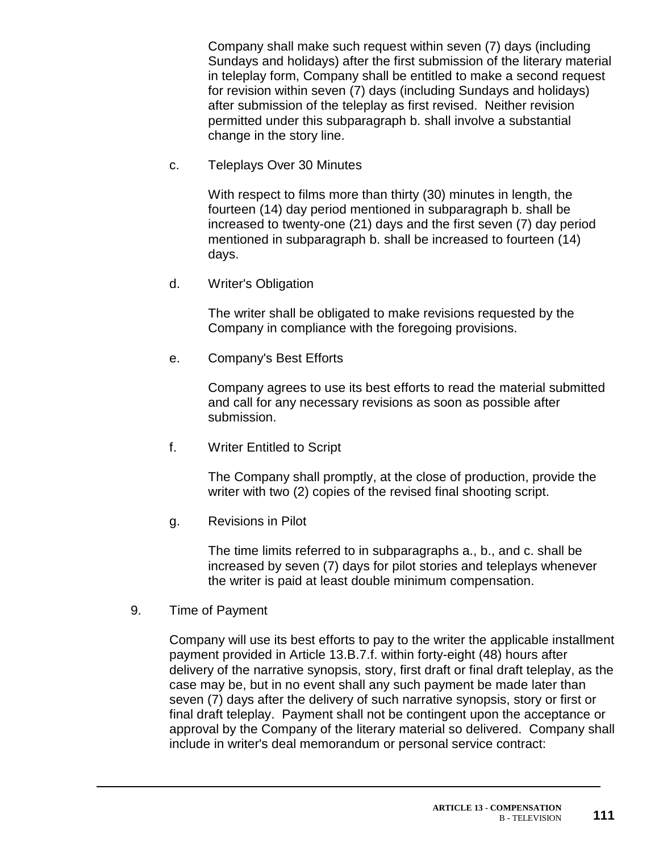Company shall make such request within seven (7) days (including Sundays and holidays) after the first submission of the literary material in teleplay form, Company shall be entitled to make a second request for revision within seven (7) days (including Sundays and holidays) after submission of the teleplay as first revised. Neither revision permitted under this subparagraph b. shall involve a substantial change in the story line.

c. Teleplays Over 30 Minutes

With respect to films more than thirty (30) minutes in length, the fourteen (14) day period mentioned in subparagraph b. shall be increased to twenty-one (21) days and the first seven (7) day period mentioned in subparagraph b. shall be increased to fourteen (14) days.

d. Writer's Obligation

The writer shall be obligated to make revisions requested by the Company in compliance with the foregoing provisions.

e. Company's Best Efforts

Company agrees to use its best efforts to read the material submitted and call for any necessary revisions as soon as possible after submission.

f. Writer Entitled to Script

The Company shall promptly, at the close of production, provide the writer with two (2) copies of the revised final shooting script.

g. Revisions in Pilot

The time limits referred to in subparagraphs a., b., and c. shall be increased by seven (7) days for pilot stories and teleplays whenever the writer is paid at least double minimum compensation.

9. Time of Payment

Company will use its best efforts to pay to the writer the applicable installment payment provided in Article 13.B.7.f. within forty-eight (48) hours after delivery of the narrative synopsis, story, first draft or final draft teleplay, as the case may be, but in no event shall any such payment be made later than seven (7) days after the delivery of such narrative synopsis, story or first or final draft teleplay. Payment shall not be contingent upon the acceptance or approval by the Company of the literary material so delivered. Company shall include in writer's deal memorandum or personal service contract: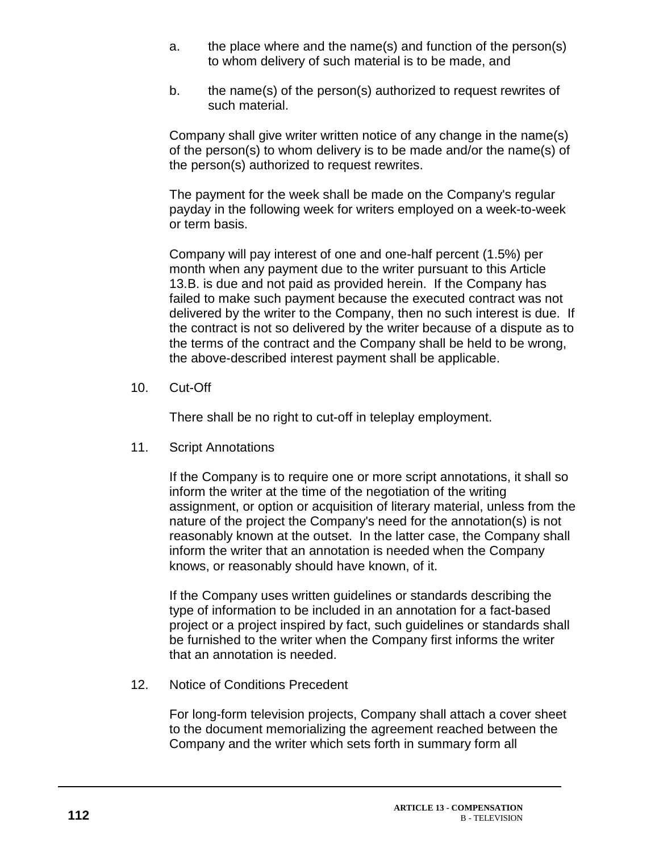- a. the place where and the name(s) and function of the person(s) to whom delivery of such material is to be made, and
- b. the name(s) of the person(s) authorized to request rewrites of such material.

Company shall give writer written notice of any change in the name(s) of the person(s) to whom delivery is to be made and/or the name(s) of the person(s) authorized to request rewrites.

The payment for the week shall be made on the Company's regular payday in the following week for writers employed on a week-to-week or term basis.

Company will pay interest of one and one-half percent (1.5%) per month when any payment due to the writer pursuant to this Article 13.B. is due and not paid as provided herein. If the Company has failed to make such payment because the executed contract was not delivered by the writer to the Company, then no such interest is due. If the contract is not so delivered by the writer because of a dispute as to the terms of the contract and the Company shall be held to be wrong, the above-described interest payment shall be applicable.

10. Cut-Off

There shall be no right to cut-off in teleplay employment.

11. Script Annotations

If the Company is to require one or more script annotations, it shall so inform the writer at the time of the negotiation of the writing assignment, or option or acquisition of literary material, unless from the nature of the project the Company's need for the annotation(s) is not reasonably known at the outset. In the latter case, the Company shall inform the writer that an annotation is needed when the Company knows, or reasonably should have known, of it.

If the Company uses written guidelines or standards describing the type of information to be included in an annotation for a fact-based project or a project inspired by fact, such guidelines or standards shall be furnished to the writer when the Company first informs the writer that an annotation is needed.

12. Notice of Conditions Precedent

For long-form television projects, Company shall attach a cover sheet to the document memorializing the agreement reached between the Company and the writer which sets forth in summary form all